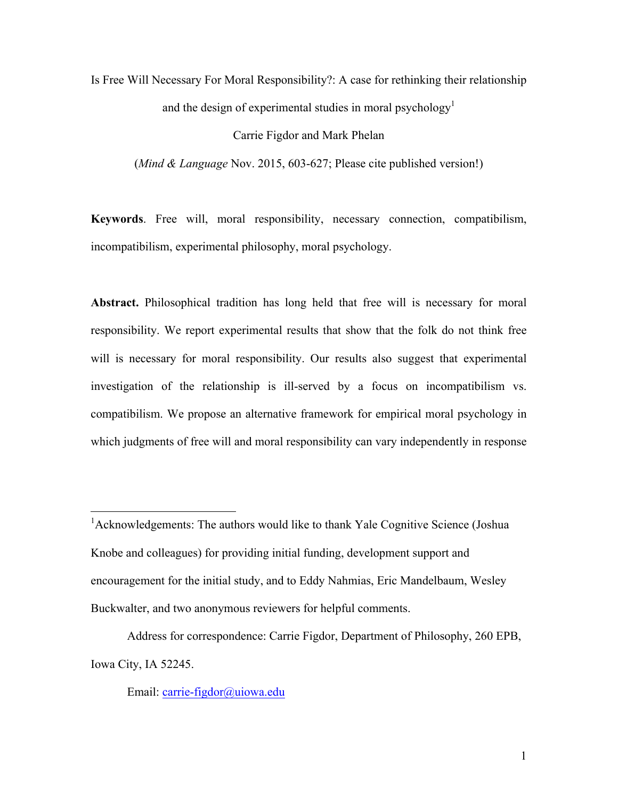Is Free Will Necessary For Moral Responsibility?: A case for rethinking their relationship and the design of experimental studies in moral psychology<sup>1</sup>

#### Carrie Figdor and Mark Phelan

(*Mind & Language* Nov. 2015, 603-627; Please cite published version!)

**Keywords**. Free will, moral responsibility, necessary connection, compatibilism, incompatibilism, experimental philosophy, moral psychology.

**Abstract.** Philosophical tradition has long held that free will is necessary for moral responsibility. We report experimental results that show that the folk do not think free will is necessary for moral responsibility. Our results also suggest that experimental investigation of the relationship is ill-served by a focus on incompatibilism vs. compatibilism. We propose an alternative framework for empirical moral psychology in which judgments of free will and moral responsibility can vary independently in response

<sup>1</sup> Acknowledgements: The authors would like to thank Yale Cognitive Science (Joshua) Knobe and colleagues) for providing initial funding, development support and encouragement for the initial study, and to Eddy Nahmias, Eric Mandelbaum, Wesley Buckwalter, and two anonymous reviewers for helpful comments.

Address for correspondence: Carrie Figdor, Department of Philosophy, 260 EPB, Iowa City, IA 52245.

Email: carrie-figdor@uiowa.edu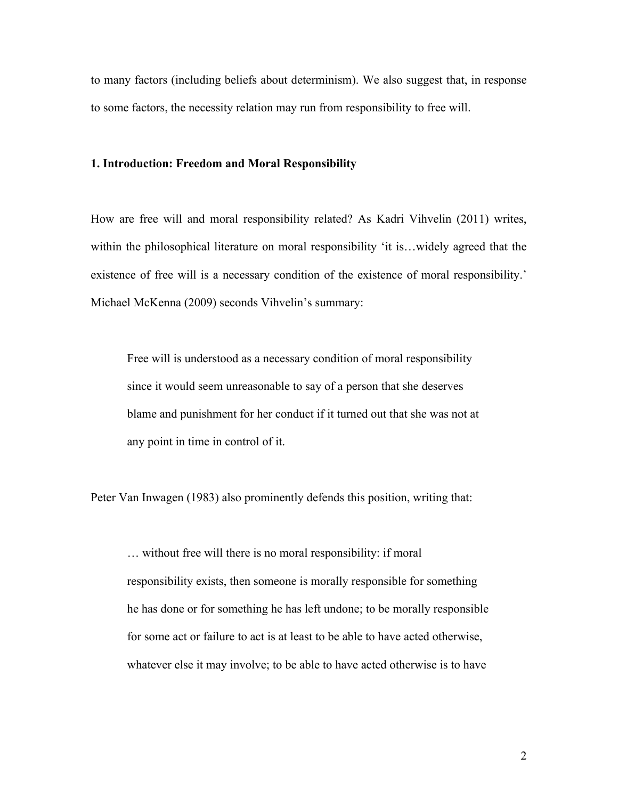to many factors (including beliefs about determinism). We also suggest that, in response to some factors, the necessity relation may run from responsibility to free will.

#### **1. Introduction: Freedom and Moral Responsibility**

How are free will and moral responsibility related? As Kadri Vihvelin (2011) writes, within the philosophical literature on moral responsibility 'it is…widely agreed that the existence of free will is a necessary condition of the existence of moral responsibility.' Michael McKenna (2009) seconds Vihvelin's summary:

Free will is understood as a necessary condition of moral responsibility since it would seem unreasonable to say of a person that she deserves blame and punishment for her conduct if it turned out that she was not at any point in time in control of it.

Peter Van Inwagen (1983) also prominently defends this position, writing that:

… without free will there is no moral responsibility: if moral responsibility exists, then someone is morally responsible for something he has done or for something he has left undone; to be morally responsible for some act or failure to act is at least to be able to have acted otherwise, whatever else it may involve; to be able to have acted otherwise is to have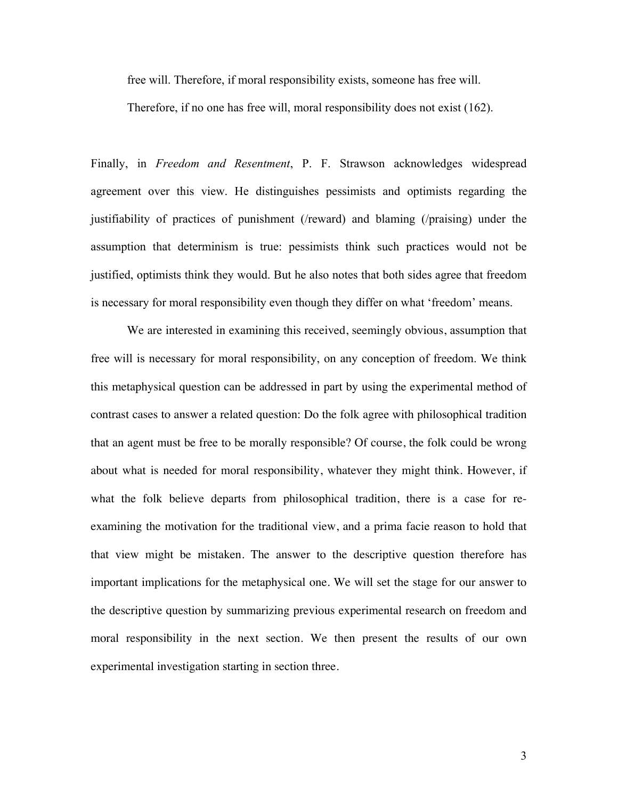free will. Therefore, if moral responsibility exists, someone has free will.

Therefore, if no one has free will, moral responsibility does not exist (162).

Finally, in *Freedom and Resentment*, P. F. Strawson acknowledges widespread agreement over this view. He distinguishes pessimists and optimists regarding the justifiability of practices of punishment (/reward) and blaming (/praising) under the assumption that determinism is true: pessimists think such practices would not be justified, optimists think they would. But he also notes that both sides agree that freedom is necessary for moral responsibility even though they differ on what 'freedom' means.

We are interested in examining this received, seemingly obvious, assumption that free will is necessary for moral responsibility, on any conception of freedom. We think this metaphysical question can be addressed in part by using the experimental method of contrast cases to answer a related question: Do the folk agree with philosophical tradition that an agent must be free to be morally responsible? Of course, the folk could be wrong about what is needed for moral responsibility, whatever they might think. However, if what the folk believe departs from philosophical tradition, there is a case for reexamining the motivation for the traditional view, and a prima facie reason to hold that that view might be mistaken. The answer to the descriptive question therefore has important implications for the metaphysical one. We will set the stage for our answer to the descriptive question by summarizing previous experimental research on freedom and moral responsibility in the next section. We then present the results of our own experimental investigation starting in section three.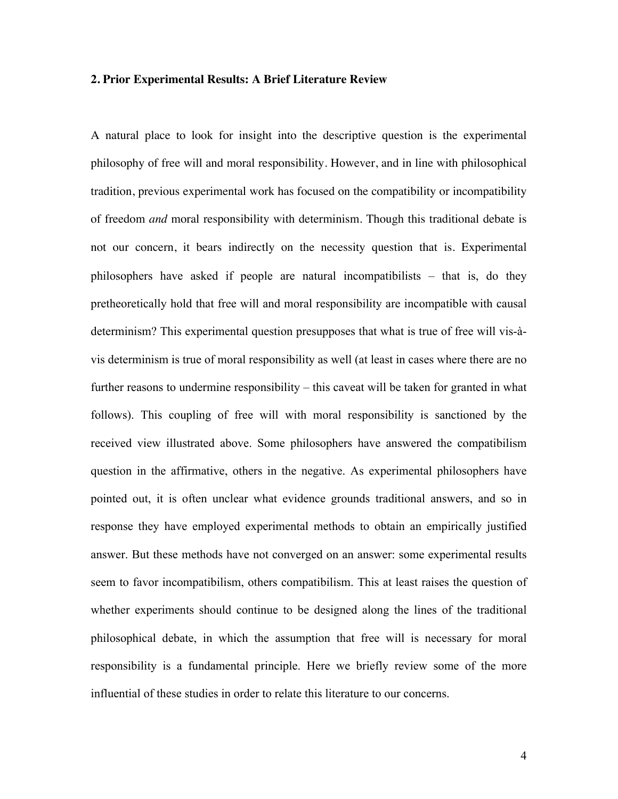#### **2. Prior Experimental Results: A Brief Literature Review**

A natural place to look for insight into the descriptive question is the experimental philosophy of free will and moral responsibility. However, and in line with philosophical tradition, previous experimental work has focused on the compatibility or incompatibility of freedom *and* moral responsibility with determinism. Though this traditional debate is not our concern, it bears indirectly on the necessity question that is. Experimental philosophers have asked if people are natural incompatibilists – that is, do they pretheoretically hold that free will and moral responsibility are incompatible with causal determinism? This experimental question presupposes that what is true of free will vis-àvis determinism is true of moral responsibility as well (at least in cases where there are no further reasons to undermine responsibility – this caveat will be taken for granted in what follows). This coupling of free will with moral responsibility is sanctioned by the received view illustrated above. Some philosophers have answered the compatibilism question in the affirmative, others in the negative. As experimental philosophers have pointed out, it is often unclear what evidence grounds traditional answers, and so in response they have employed experimental methods to obtain an empirically justified answer. But these methods have not converged on an answer: some experimental results seem to favor incompatibilism, others compatibilism. This at least raises the question of whether experiments should continue to be designed along the lines of the traditional philosophical debate, in which the assumption that free will is necessary for moral responsibility is a fundamental principle. Here we briefly review some of the more influential of these studies in order to relate this literature to our concerns.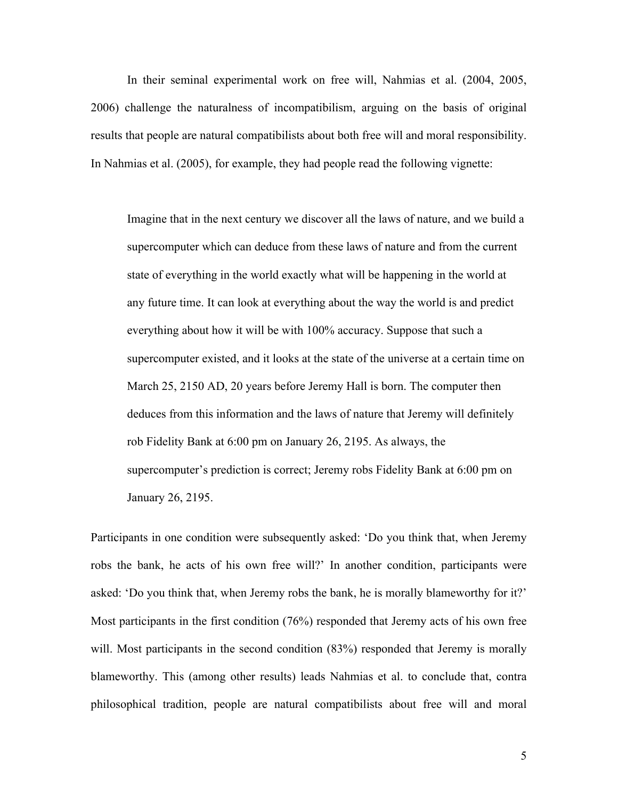In their seminal experimental work on free will, Nahmias et al. (2004, 2005, 2006) challenge the naturalness of incompatibilism, arguing on the basis of original results that people are natural compatibilists about both free will and moral responsibility. In Nahmias et al. (2005), for example, they had people read the following vignette:

Imagine that in the next century we discover all the laws of nature, and we build a supercomputer which can deduce from these laws of nature and from the current state of everything in the world exactly what will be happening in the world at any future time. It can look at everything about the way the world is and predict everything about how it will be with 100% accuracy. Suppose that such a supercomputer existed, and it looks at the state of the universe at a certain time on March 25, 2150 AD, 20 years before Jeremy Hall is born. The computer then deduces from this information and the laws of nature that Jeremy will definitely rob Fidelity Bank at 6:00 pm on January 26, 2195. As always, the supercomputer's prediction is correct; Jeremy robs Fidelity Bank at 6:00 pm on January 26, 2195.

Participants in one condition were subsequently asked: 'Do you think that, when Jeremy robs the bank, he acts of his own free will?' In another condition, participants were asked: 'Do you think that, when Jeremy robs the bank, he is morally blameworthy for it?' Most participants in the first condition (76%) responded that Jeremy acts of his own free will. Most participants in the second condition (83%) responded that Jeremy is morally blameworthy. This (among other results) leads Nahmias et al. to conclude that, contra philosophical tradition, people are natural compatibilists about free will and moral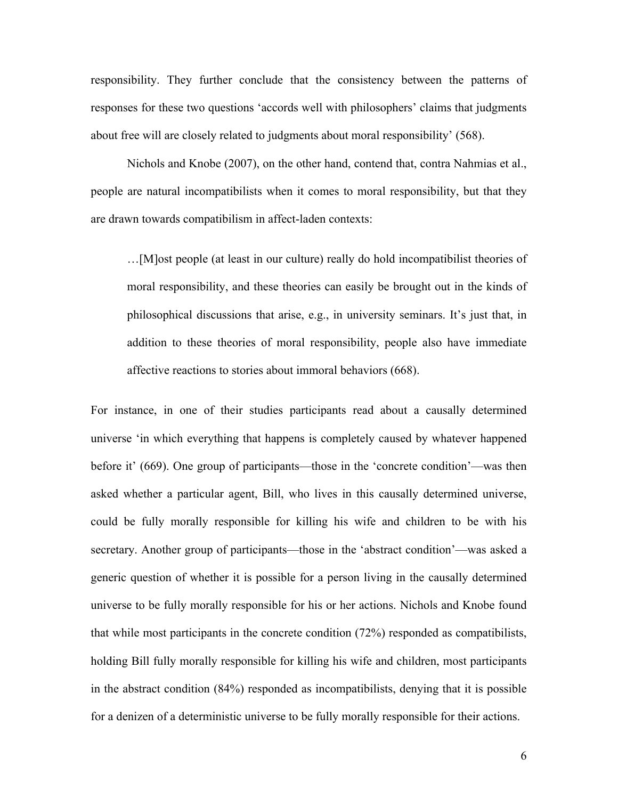responsibility. They further conclude that the consistency between the patterns of responses for these two questions 'accords well with philosophers' claims that judgments about free will are closely related to judgments about moral responsibility' (568).

Nichols and Knobe (2007), on the other hand, contend that, contra Nahmias et al., people are natural incompatibilists when it comes to moral responsibility, but that they are drawn towards compatibilism in affect-laden contexts:

…[M]ost people (at least in our culture) really do hold incompatibilist theories of moral responsibility, and these theories can easily be brought out in the kinds of philosophical discussions that arise, e.g., in university seminars. It's just that, in addition to these theories of moral responsibility, people also have immediate affective reactions to stories about immoral behaviors (668).

For instance, in one of their studies participants read about a causally determined universe 'in which everything that happens is completely caused by whatever happened before it' (669). One group of participants—those in the 'concrete condition'—was then asked whether a particular agent, Bill, who lives in this causally determined universe, could be fully morally responsible for killing his wife and children to be with his secretary. Another group of participants—those in the 'abstract condition'—was asked a generic question of whether it is possible for a person living in the causally determined universe to be fully morally responsible for his or her actions. Nichols and Knobe found that while most participants in the concrete condition (72%) responded as compatibilists, holding Bill fully morally responsible for killing his wife and children, most participants in the abstract condition (84%) responded as incompatibilists, denying that it is possible for a denizen of a deterministic universe to be fully morally responsible for their actions.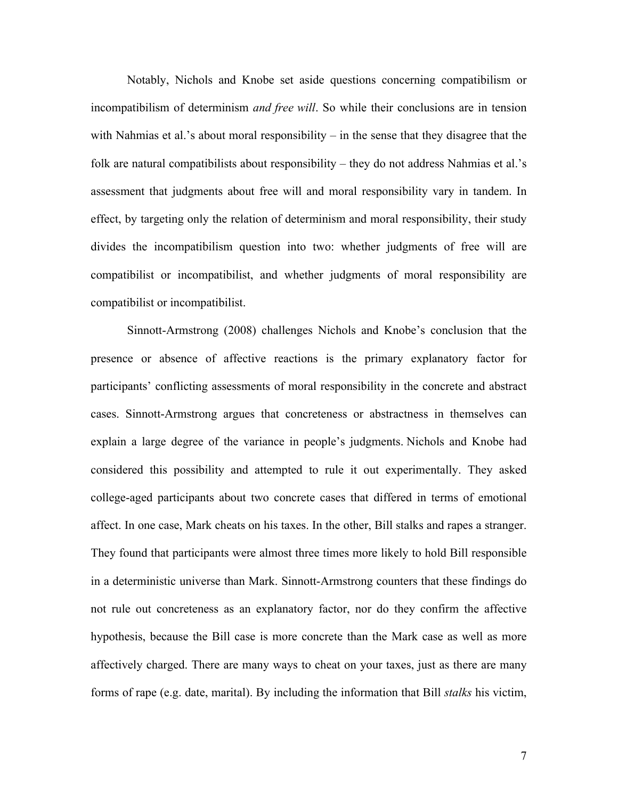Notably, Nichols and Knobe set aside questions concerning compatibilism or incompatibilism of determinism *and free will*. So while their conclusions are in tension with Nahmias et al.'s about moral responsibility – in the sense that they disagree that the folk are natural compatibilists about responsibility – they do not address Nahmias et al.'s assessment that judgments about free will and moral responsibility vary in tandem. In effect, by targeting only the relation of determinism and moral responsibility, their study divides the incompatibilism question into two: whether judgments of free will are compatibilist or incompatibilist, and whether judgments of moral responsibility are compatibilist or incompatibilist.

Sinnott-Armstrong (2008) challenges Nichols and Knobe's conclusion that the presence or absence of affective reactions is the primary explanatory factor for participants' conflicting assessments of moral responsibility in the concrete and abstract cases. Sinnott-Armstrong argues that concreteness or abstractness in themselves can explain a large degree of the variance in people's judgments. Nichols and Knobe had considered this possibility and attempted to rule it out experimentally. They asked college-aged participants about two concrete cases that differed in terms of emotional affect. In one case, Mark cheats on his taxes. In the other, Bill stalks and rapes a stranger. They found that participants were almost three times more likely to hold Bill responsible in a deterministic universe than Mark. Sinnott-Armstrong counters that these findings do not rule out concreteness as an explanatory factor, nor do they confirm the affective hypothesis, because the Bill case is more concrete than the Mark case as well as more affectively charged. There are many ways to cheat on your taxes, just as there are many forms of rape (e.g. date, marital). By including the information that Bill *stalks* his victim,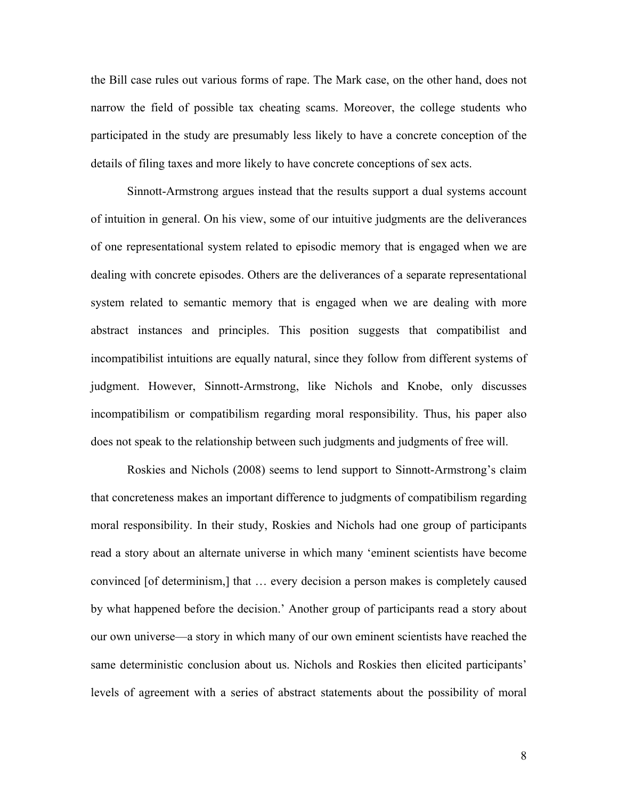the Bill case rules out various forms of rape. The Mark case, on the other hand, does not narrow the field of possible tax cheating scams. Moreover, the college students who participated in the study are presumably less likely to have a concrete conception of the details of filing taxes and more likely to have concrete conceptions of sex acts.

Sinnott-Armstrong argues instead that the results support a dual systems account of intuition in general. On his view, some of our intuitive judgments are the deliverances of one representational system related to episodic memory that is engaged when we are dealing with concrete episodes. Others are the deliverances of a separate representational system related to semantic memory that is engaged when we are dealing with more abstract instances and principles. This position suggests that compatibilist and incompatibilist intuitions are equally natural, since they follow from different systems of judgment. However, Sinnott-Armstrong, like Nichols and Knobe, only discusses incompatibilism or compatibilism regarding moral responsibility. Thus, his paper also does not speak to the relationship between such judgments and judgments of free will.

Roskies and Nichols (2008) seems to lend support to Sinnott-Armstrong's claim that concreteness makes an important difference to judgments of compatibilism regarding moral responsibility. In their study, Roskies and Nichols had one group of participants read a story about an alternate universe in which many 'eminent scientists have become convinced [of determinism,] that … every decision a person makes is completely caused by what happened before the decision.' Another group of participants read a story about our own universe—a story in which many of our own eminent scientists have reached the same deterministic conclusion about us. Nichols and Roskies then elicited participants' levels of agreement with a series of abstract statements about the possibility of moral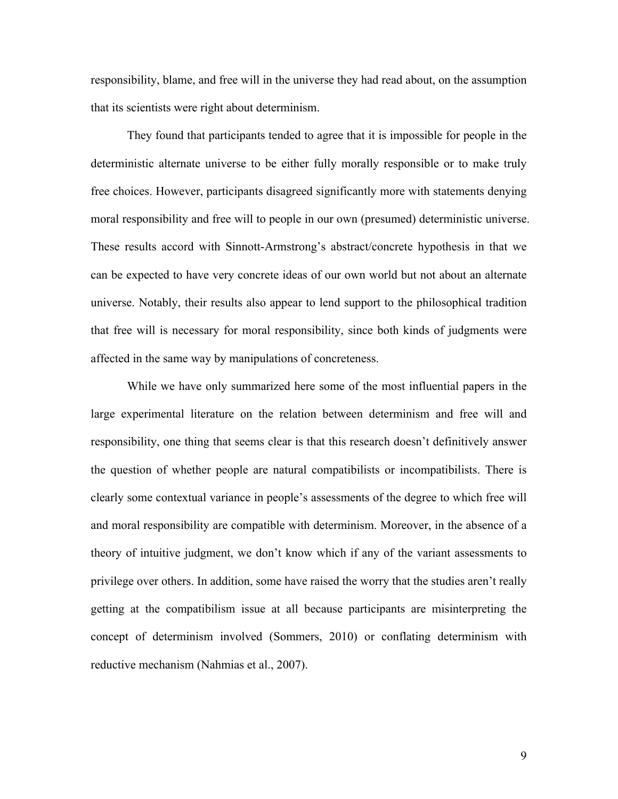responsibility, blame, and free will in the universe they had read about, on the assumption that its scientists were right about determinism.

They found that participants tended to agree that it is impossible for people in the deterministic alternate universe to be either fully morally responsible or to make truly free choices. However, participants disagreed significantly more with statements denying moral responsibility and free will to people in our own (presumed) deterministic universe. These results accord with Sinnott-Armstrong's abstract/concrete hypothesis in that we can be expected to have very concrete ideas of our own world but not about an alternate universe. Notably, their results also appear to lend support to the philosophical tradition that free will is necessary for moral responsibility, since both kinds of judgments were affected in the same way by manipulations of concreteness.

While we have only summarized here some of the most influential papers in the large experimental literature on the relation between determinism and free will and responsibility, one thing that seems clear is that this research doesn't definitively answer the question of whether people are natural compatibilists or incompatibilists. There is clearly some contextual variance in people's assessments of the degree to which free will and moral responsibility are compatible with determinism. Moreover, in the absence of a theory of intuitive judgment, we don't know which if any of the variant assessments to privilege over others. In addition, some have raised the worry that the studies aren't really getting at the compatibilism issue at all because participants are misinterpreting the concept of determinism involved (Sommers, 2010) or conflating determinism with reductive mechanism (Nahmias et al., 2007).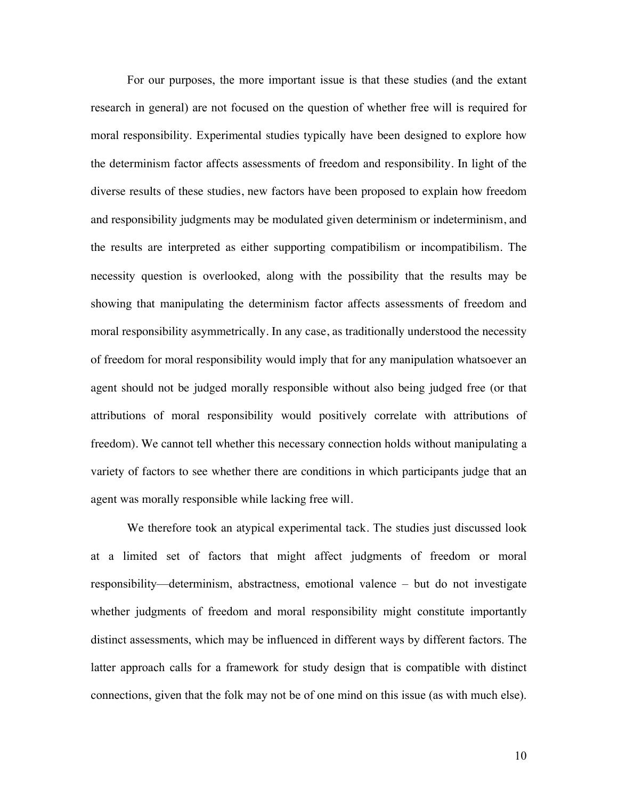For our purposes, the more important issue is that these studies (and the extant research in general) are not focused on the question of whether free will is required for moral responsibility. Experimental studies typically have been designed to explore how the determinism factor affects assessments of freedom and responsibility. In light of the diverse results of these studies, new factors have been proposed to explain how freedom and responsibility judgments may be modulated given determinism or indeterminism, and the results are interpreted as either supporting compatibilism or incompatibilism. The necessity question is overlooked, along with the possibility that the results may be showing that manipulating the determinism factor affects assessments of freedom and moral responsibility asymmetrically. In any case, as traditionally understood the necessity of freedom for moral responsibility would imply that for any manipulation whatsoever an agent should not be judged morally responsible without also being judged free (or that attributions of moral responsibility would positively correlate with attributions of freedom). We cannot tell whether this necessary connection holds without manipulating a variety of factors to see whether there are conditions in which participants judge that an agent was morally responsible while lacking free will.

We therefore took an atypical experimental tack. The studies just discussed look at a limited set of factors that might affect judgments of freedom or moral responsibility—determinism, abstractness, emotional valence – but do not investigate whether judgments of freedom and moral responsibility might constitute importantly distinct assessments, which may be influenced in different ways by different factors. The latter approach calls for a framework for study design that is compatible with distinct connections, given that the folk may not be of one mind on this issue (as with much else).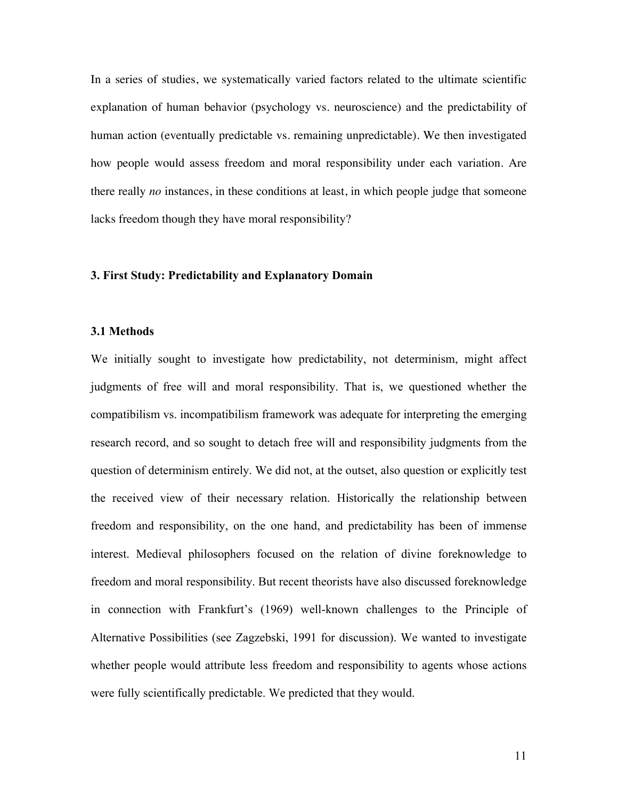In a series of studies, we systematically varied factors related to the ultimate scientific explanation of human behavior (psychology vs. neuroscience) and the predictability of human action (eventually predictable vs. remaining unpredictable). We then investigated how people would assess freedom and moral responsibility under each variation. Are there really *no* instances, in these conditions at least, in which people judge that someone lacks freedom though they have moral responsibility?

#### **3. First Study: Predictability and Explanatory Domain**

#### **3.1 Methods**

We initially sought to investigate how predictability, not determinism, might affect judgments of free will and moral responsibility. That is, we questioned whether the compatibilism vs. incompatibilism framework was adequate for interpreting the emerging research record, and so sought to detach free will and responsibility judgments from the question of determinism entirely. We did not, at the outset, also question or explicitly test the received view of their necessary relation. Historically the relationship between freedom and responsibility, on the one hand, and predictability has been of immense interest. Medieval philosophers focused on the relation of divine foreknowledge to freedom and moral responsibility. But recent theorists have also discussed foreknowledge in connection with Frankfurt's (1969) well-known challenges to the Principle of Alternative Possibilities (see Zagzebski, 1991 for discussion). We wanted to investigate whether people would attribute less freedom and responsibility to agents whose actions were fully scientifically predictable. We predicted that they would.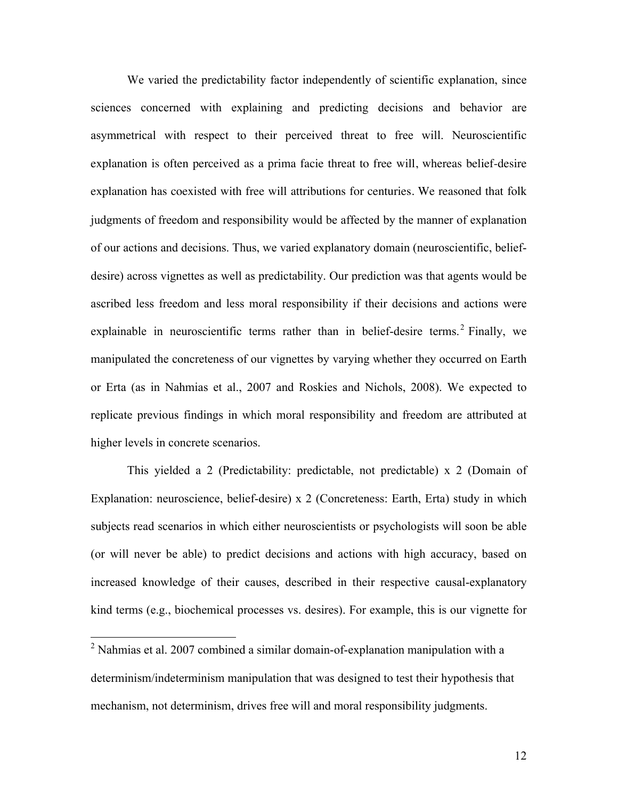We varied the predictability factor independently of scientific explanation, since sciences concerned with explaining and predicting decisions and behavior are asymmetrical with respect to their perceived threat to free will. Neuroscientific explanation is often perceived as a prima facie threat to free will, whereas belief-desire explanation has coexisted with free will attributions for centuries. We reasoned that folk judgments of freedom and responsibility would be affected by the manner of explanation of our actions and decisions. Thus, we varied explanatory domain (neuroscientific, beliefdesire) across vignettes as well as predictability. Our prediction was that agents would be ascribed less freedom and less moral responsibility if their decisions and actions were explainable in neuroscientific terms rather than in belief-desire terms.<sup>2</sup> Finally, we manipulated the concreteness of our vignettes by varying whether they occurred on Earth or Erta (as in Nahmias et al., 2007 and Roskies and Nichols, 2008). We expected to replicate previous findings in which moral responsibility and freedom are attributed at higher levels in concrete scenarios.

This yielded a 2 (Predictability: predictable, not predictable) x 2 (Domain of Explanation: neuroscience, belief-desire) x 2 (Concreteness: Earth, Erta) study in which subjects read scenarios in which either neuroscientists or psychologists will soon be able (or will never be able) to predict decisions and actions with high accuracy, based on increased knowledge of their causes, described in their respective causal-explanatory kind terms (e.g., biochemical processes vs. desires). For example, this is our vignette for

 $^{2}$  Nahmias et al. 2007 combined a similar domain-of-explanation manipulation with a determinism/indeterminism manipulation that was designed to test their hypothesis that mechanism, not determinism, drives free will and moral responsibility judgments.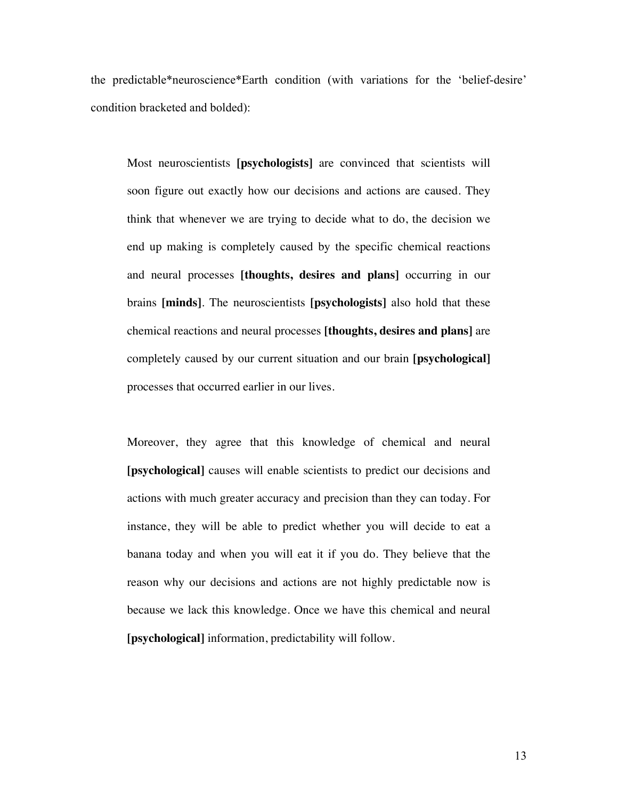the predictable\*neuroscience\*Earth condition (with variations for the 'belief-desire' condition bracketed and bolded):

Most neuroscientists **[psychologists]** are convinced that scientists will soon figure out exactly how our decisions and actions are caused. They think that whenever we are trying to decide what to do, the decision we end up making is completely caused by the specific chemical reactions and neural processes **[thoughts, desires and plans]** occurring in our brains **[minds]**. The neuroscientists **[psychologists]** also hold that these chemical reactions and neural processes **[thoughts, desires and plans]** are completely caused by our current situation and our brain **[psychological]** processes that occurred earlier in our lives.

Moreover, they agree that this knowledge of chemical and neural **[psychological]** causes will enable scientists to predict our decisions and actions with much greater accuracy and precision than they can today. For instance, they will be able to predict whether you will decide to eat a banana today and when you will eat it if you do. They believe that the reason why our decisions and actions are not highly predictable now is because we lack this knowledge. Once we have this chemical and neural **[psychological]** information, predictability will follow.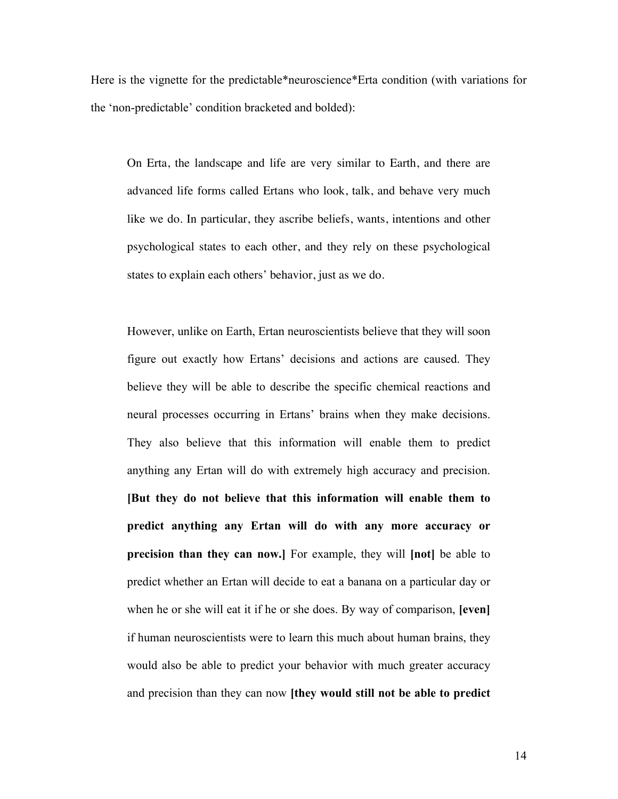Here is the vignette for the predictable\*neuroscience\*Erta condition (with variations for the 'non-predictable' condition bracketed and bolded):

On Erta, the landscape and life are very similar to Earth, and there are advanced life forms called Ertans who look, talk, and behave very much like we do. In particular, they ascribe beliefs, wants, intentions and other psychological states to each other, and they rely on these psychological states to explain each others' behavior, just as we do.

However, unlike on Earth, Ertan neuroscientists believe that they will soon figure out exactly how Ertans' decisions and actions are caused. They believe they will be able to describe the specific chemical reactions and neural processes occurring in Ertans' brains when they make decisions. They also believe that this information will enable them to predict anything any Ertan will do with extremely high accuracy and precision. **[But they do not believe that this information will enable them to predict anything any Ertan will do with any more accuracy or precision than they can now.]** For example, they will **[not]** be able to predict whether an Ertan will decide to eat a banana on a particular day or when he or she will eat it if he or she does. By way of comparison, **[even]** if human neuroscientists were to learn this much about human brains, they would also be able to predict your behavior with much greater accuracy and precision than they can now **[they would still not be able to predict**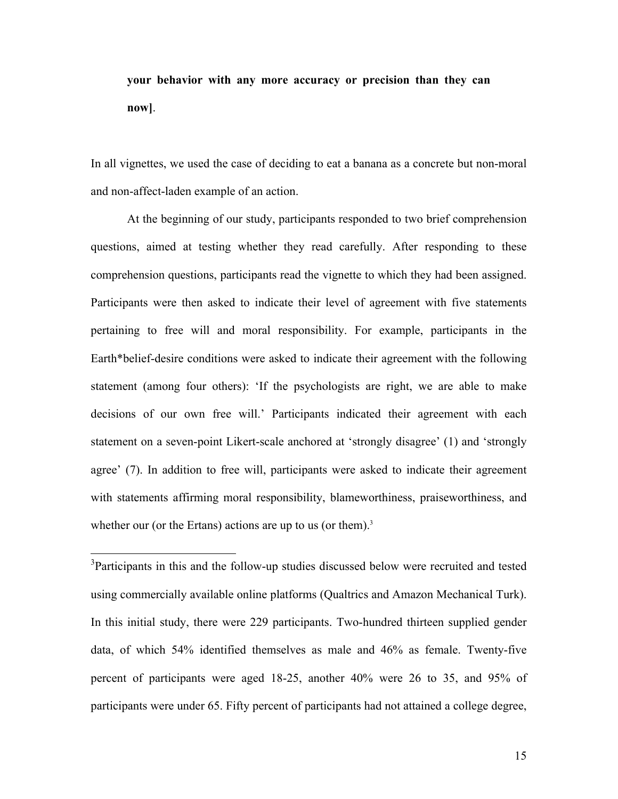# **your behavior with any more accuracy or precision than they can now]**.

In all vignettes, we used the case of deciding to eat a banana as a concrete but non-moral and non-affect-laden example of an action.

At the beginning of our study, participants responded to two brief comprehension questions, aimed at testing whether they read carefully. After responding to these comprehension questions, participants read the vignette to which they had been assigned. Participants were then asked to indicate their level of agreement with five statements pertaining to free will and moral responsibility. For example, participants in the Earth\*belief-desire conditions were asked to indicate their agreement with the following statement (among four others): 'If the psychologists are right, we are able to make decisions of our own free will.' Participants indicated their agreement with each statement on a seven-point Likert-scale anchored at 'strongly disagree' (1) and 'strongly agree' (7). In addition to free will, participants were asked to indicate their agreement with statements affirming moral responsibility, blameworthiness, praiseworthiness, and whether our (or the Ertans) actions are up to us (or them).<sup>3</sup>

<sup>3</sup>Participants in this and the follow-up studies discussed below were recruited and tested using commercially available online platforms (Qualtrics and Amazon Mechanical Turk). In this initial study, there were 229 participants. Two-hundred thirteen supplied gender data, of which 54% identified themselves as male and 46% as female. Twenty-five percent of participants were aged 18-25, another 40% were 26 to 35, and 95% of participants were under 65. Fifty percent of participants had not attained a college degree,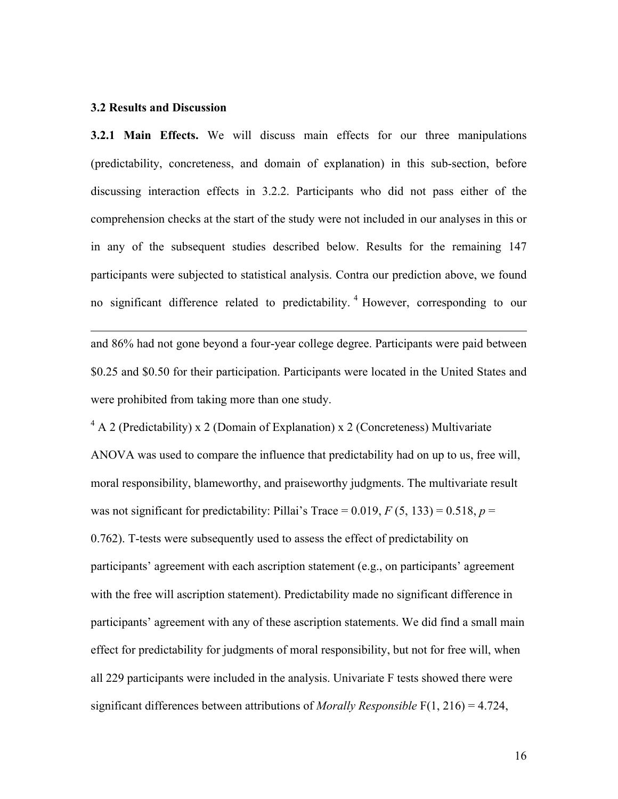#### **3.2 Results and Discussion**

 $\overline{a}$ 

**3.2.1 Main Effects.** We will discuss main effects for our three manipulations (predictability, concreteness, and domain of explanation) in this sub-section, before discussing interaction effects in 3.2.2. Participants who did not pass either of the comprehension checks at the start of the study were not included in our analyses in this or in any of the subsequent studies described below. Results for the remaining 147 participants were subjected to statistical analysis. Contra our prediction above, we found no significant difference related to predictability.<sup>4</sup> However, corresponding to our

and 86% had not gone beyond a four-year college degree. Participants were paid between \$0.25 and \$0.50 for their participation. Participants were located in the United States and were prohibited from taking more than one study.

 $4 A 2$  (Predictability) x 2 (Domain of Explanation) x 2 (Concreteness) Multivariate ANOVA was used to compare the influence that predictability had on up to us, free will, moral responsibility, blameworthy, and praiseworthy judgments. The multivariate result was not significant for predictability: Pillai's Trace =  $0.019$ ,  $F(5, 133) = 0.518$ ,  $p =$ 0.762). T-tests were subsequently used to assess the effect of predictability on participants' agreement with each ascription statement (e.g., on participants' agreement with the free will ascription statement). Predictability made no significant difference in participants' agreement with any of these ascription statements. We did find a small main effect for predictability for judgments of moral responsibility, but not for free will, when all 229 participants were included in the analysis. Univariate F tests showed there were significant differences between attributions of *Morally Responsible* F(1, 216) = 4.724,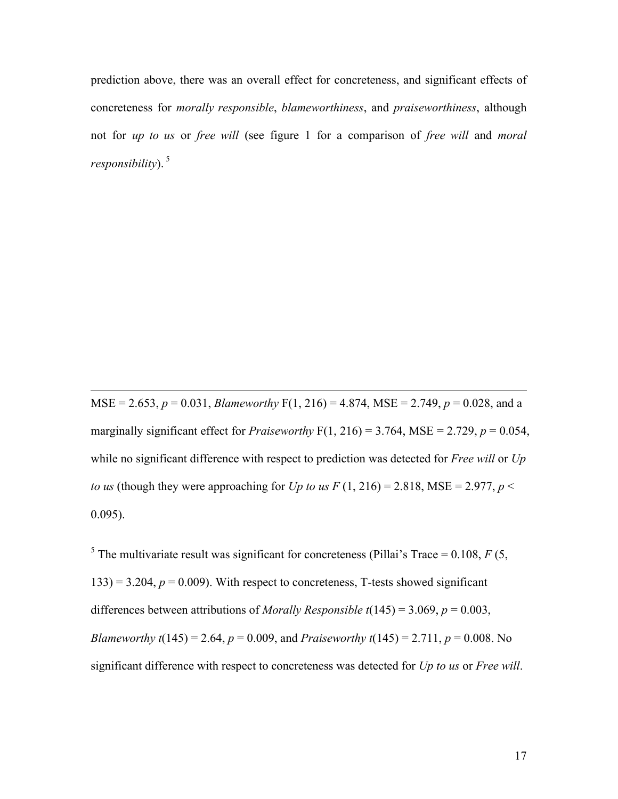prediction above, there was an overall effect for concreteness, and significant effects of concreteness for *morally responsible*, *blameworthiness*, and *praiseworthiness*, although not for *up to us* or *free will* (see figure 1 for a comparison of *free will* and *moral responsibility*). 5

MSE = 2.653,  $p = 0.031$ , *Blameworthy* F(1, 216) = 4.874, MSE = 2.749,  $p = 0.028$ , and a marginally significant effect for *Praiseworthy*  $F(1, 216) = 3.764$ , MSE = 2.729,  $p = 0.054$ , while no significant difference with respect to prediction was detected for *Free will* or *Up to us* (though they were approaching for *Up to us*  $F(1, 216) = 2.818$ , MSE = 2.977,  $p <$ 0.095).

 $\overline{a}$ 

<sup>5</sup> The multivariate result was significant for concreteness (Pillai's Trace = 0.108,  $F(5, 100)$  $133$ ) = 3.204,  $p = 0.009$ ). With respect to concreteness, T-tests showed significant differences between attributions of *Morally Responsible t*(145) = 3.069, *p* = 0.003, *Blameworthy t*(145) = 2.64,  $p = 0.009$ , and *Praiseworthy t*(145) = 2.711,  $p = 0.008$ . No significant difference with respect to concreteness was detected for *Up to us* or *Free will*.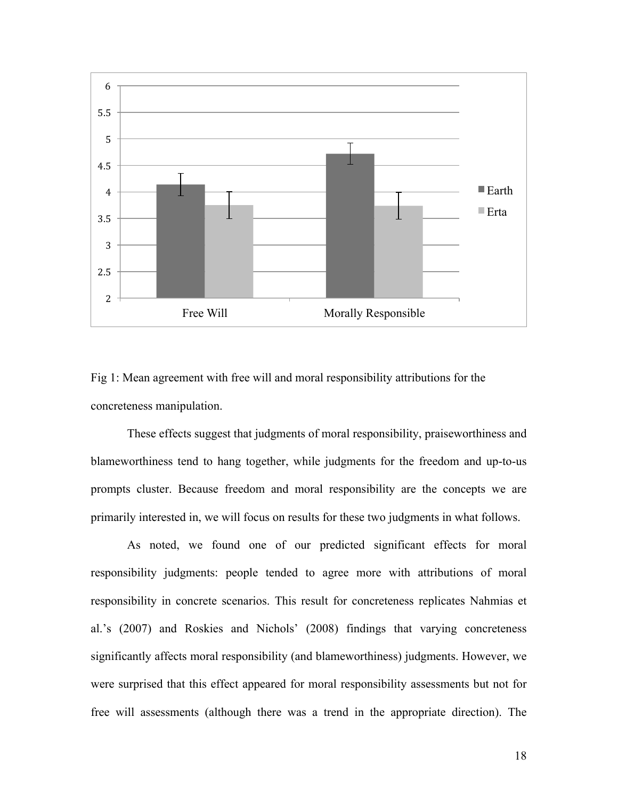

Fig 1: Mean agreement with free will and moral responsibility attributions for the concreteness manipulation.

These effects suggest that judgments of moral responsibility, praiseworthiness and blameworthiness tend to hang together, while judgments for the freedom and up-to-us prompts cluster. Because freedom and moral responsibility are the concepts we are primarily interested in, we will focus on results for these two judgments in what follows.

As noted, we found one of our predicted significant effects for moral responsibility judgments: people tended to agree more with attributions of moral responsibility in concrete scenarios. This result for concreteness replicates Nahmias et al.'s (2007) and Roskies and Nichols' (2008) findings that varying concreteness significantly affects moral responsibility (and blameworthiness) judgments. However, we were surprised that this effect appeared for moral responsibility assessments but not for free will assessments (although there was a trend in the appropriate direction). The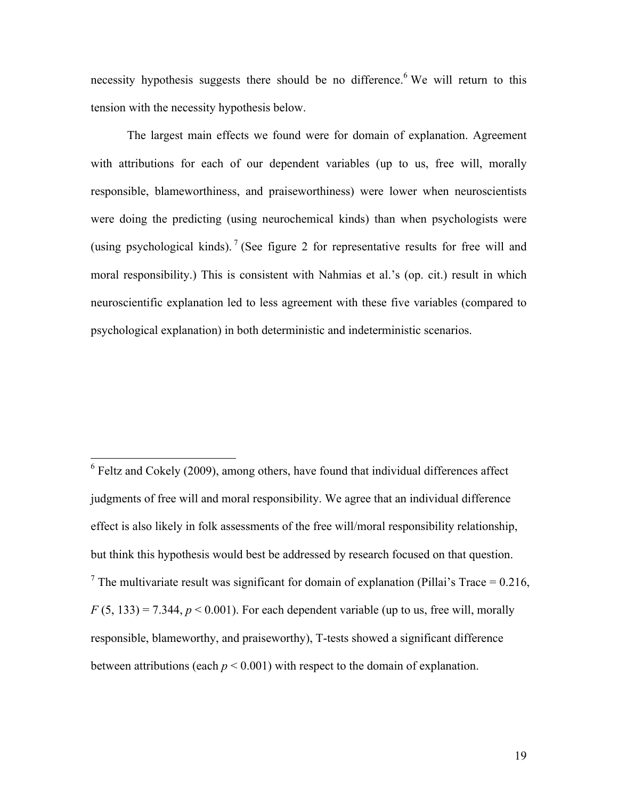necessity hypothesis suggests there should be no difference.<sup>6</sup> We will return to this tension with the necessity hypothesis below.

The largest main effects we found were for domain of explanation. Agreement with attributions for each of our dependent variables (up to us, free will, morally responsible, blameworthiness, and praiseworthiness) were lower when neuroscientists were doing the predicting (using neurochemical kinds) than when psychologists were (using psychological kinds).<sup>7</sup> (See figure 2 for representative results for free will and moral responsibility.) This is consistent with Nahmias et al.'s (op. cit.) result in which neuroscientific explanation led to less agreement with these five variables (compared to psychological explanation) in both deterministic and indeterministic scenarios.

 $6$  Feltz and Cokely (2009), among others, have found that individual differences affect judgments of free will and moral responsibility. We agree that an individual difference effect is also likely in folk assessments of the free will/moral responsibility relationship, but think this hypothesis would best be addressed by research focused on that question. <sup>7</sup> The multivariate result was significant for domain of explanation (Pillai's Trace = 0.216,  $F(5, 133) = 7.344$ ,  $p < 0.001$ ). For each dependent variable (up to us, free will, morally responsible, blameworthy, and praiseworthy), T-tests showed a significant difference between attributions (each  $p < 0.001$ ) with respect to the domain of explanation.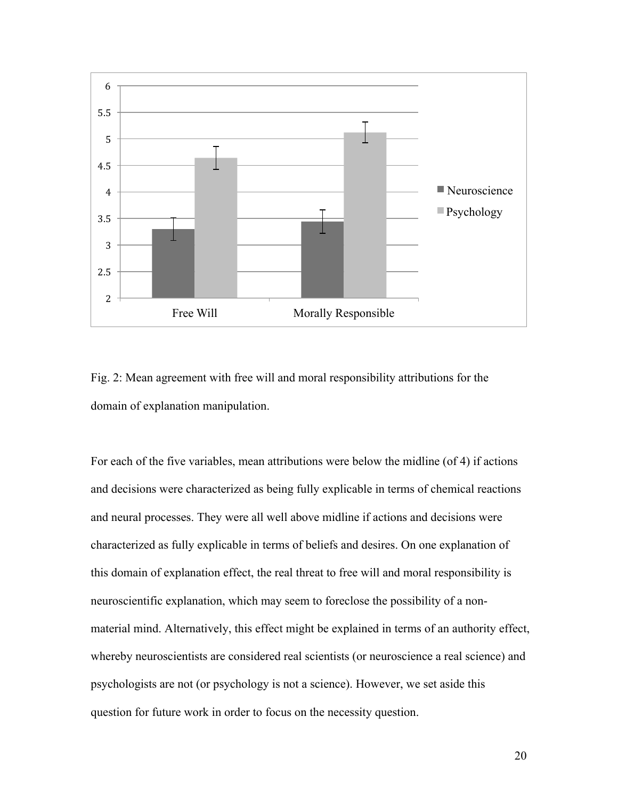

Fig. 2: Mean agreement with free will and moral responsibility attributions for the domain of explanation manipulation.

For each of the five variables, mean attributions were below the midline (of 4) if actions and decisions were characterized as being fully explicable in terms of chemical reactions and neural processes. They were all well above midline if actions and decisions were characterized as fully explicable in terms of beliefs and desires. On one explanation of this domain of explanation effect, the real threat to free will and moral responsibility is neuroscientific explanation, which may seem to foreclose the possibility of a nonmaterial mind. Alternatively, this effect might be explained in terms of an authority effect, whereby neuroscientists are considered real scientists (or neuroscience a real science) and psychologists are not (or psychology is not a science). However, we set aside this question for future work in order to focus on the necessity question.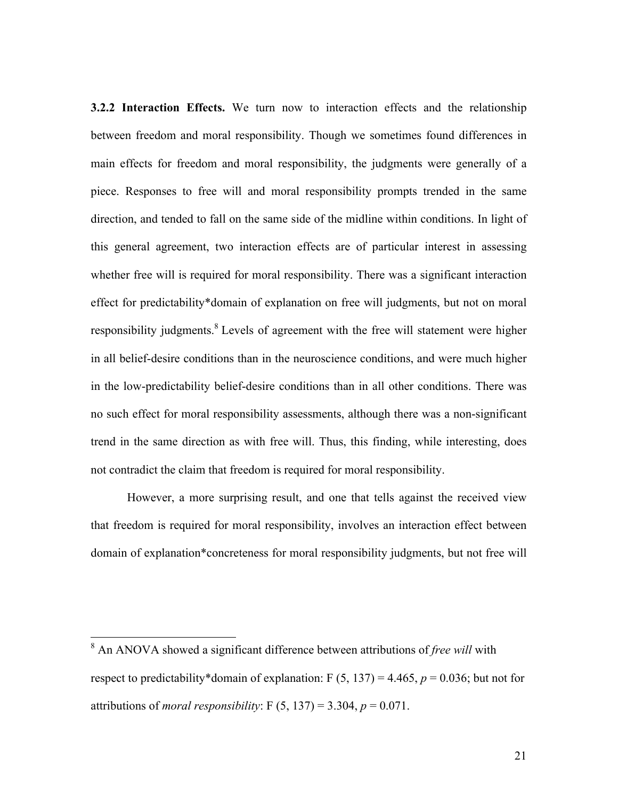**3.2.2 Interaction Effects.** We turn now to interaction effects and the relationship between freedom and moral responsibility. Though we sometimes found differences in main effects for freedom and moral responsibility, the judgments were generally of a piece. Responses to free will and moral responsibility prompts trended in the same direction, and tended to fall on the same side of the midline within conditions. In light of this general agreement, two interaction effects are of particular interest in assessing whether free will is required for moral responsibility. There was a significant interaction effect for predictability\*domain of explanation on free will judgments, but not on moral responsibility judgments.<sup>8</sup> Levels of agreement with the free will statement were higher in all belief-desire conditions than in the neuroscience conditions, and were much higher in the low-predictability belief-desire conditions than in all other conditions. There was no such effect for moral responsibility assessments, although there was a non-significant trend in the same direction as with free will. Thus, this finding, while interesting, does not contradict the claim that freedom is required for moral responsibility.

However, a more surprising result, and one that tells against the received view that freedom is required for moral responsibility, involves an interaction effect between domain of explanation\*concreteness for moral responsibility judgments, but not free will

 <sup>8</sup> An ANOVA showed a significant difference between attributions of *free will* with respect to predictability\*domain of explanation:  $F(5, 137) = 4.465$ ,  $p = 0.036$ ; but not for attributions of *moral responsibility*:  $F(5, 137) = 3.304$ ,  $p = 0.071$ .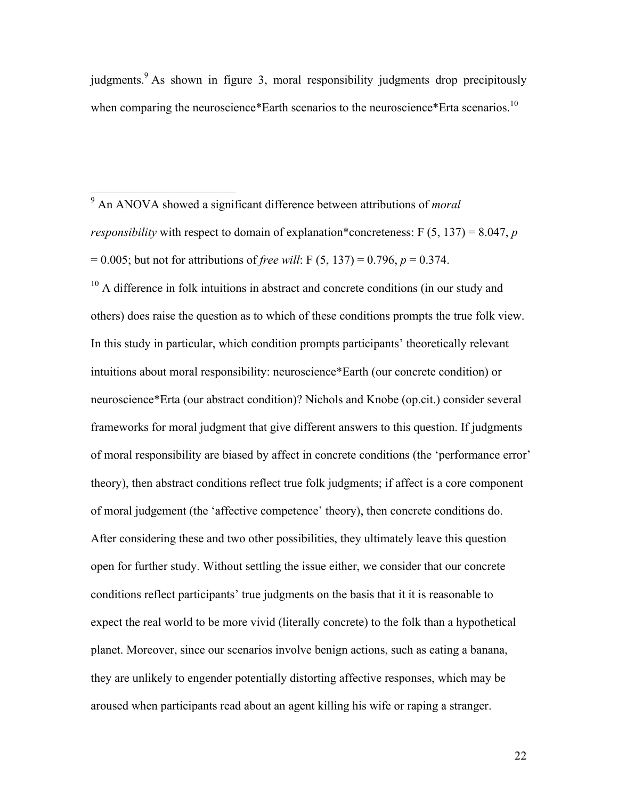judgments.<sup>9</sup> As shown in figure 3, moral responsibility judgments drop precipitously when comparing the neuroscience\*Earth scenarios to the neuroscience\*Erta scenarios.<sup>10</sup>

 9 An ANOVA showed a significant difference between attributions of *moral responsibility* with respect to domain of explanation\*concreteness:  $F(5, 137) = 8.047$ , *p* = 0.005; but not for attributions of *free will*: F (5, 137) = 0.796, *p* = 0.374.

 $10$  A difference in folk intuitions in abstract and concrete conditions (in our study and others) does raise the question as to which of these conditions prompts the true folk view. In this study in particular, which condition prompts participants' theoretically relevant intuitions about moral responsibility: neuroscience\*Earth (our concrete condition) or neuroscience\*Erta (our abstract condition)? Nichols and Knobe (op.cit.) consider several frameworks for moral judgment that give different answers to this question. If judgments of moral responsibility are biased by affect in concrete conditions (the 'performance error' theory), then abstract conditions reflect true folk judgments; if affect is a core component of moral judgement (the 'affective competence' theory), then concrete conditions do. After considering these and two other possibilities, they ultimately leave this question open for further study. Without settling the issue either, we consider that our concrete conditions reflect participants' true judgments on the basis that it it is reasonable to expect the real world to be more vivid (literally concrete) to the folk than a hypothetical planet. Moreover, since our scenarios involve benign actions, such as eating a banana, they are unlikely to engender potentially distorting affective responses, which may be aroused when participants read about an agent killing his wife or raping a stranger.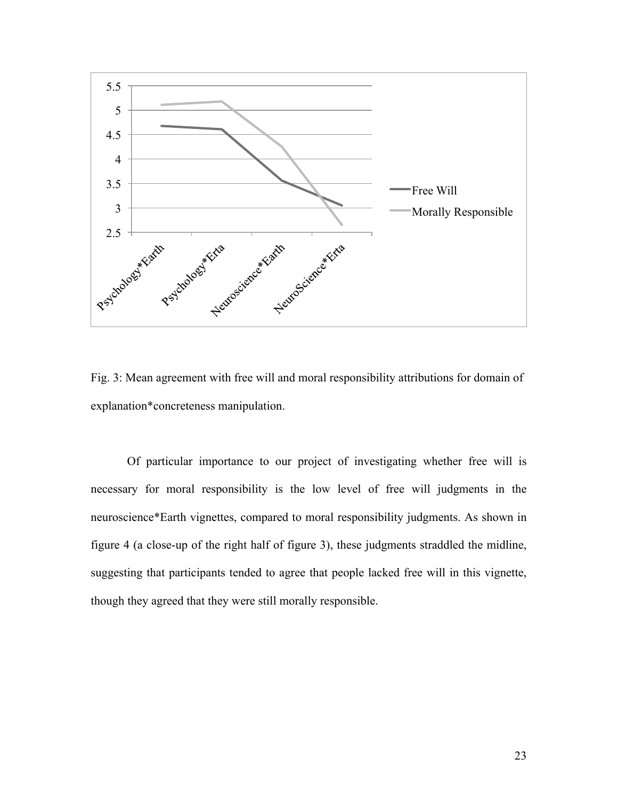

Fig. 3: Mean agreement with free will and moral responsibility attributions for domain of explanation\*concreteness manipulation.

Of particular importance to our project of investigating whether free will is necessary for moral responsibility is the low level of free will judgments in the neuroscience\*Earth vignettes, compared to moral responsibility judgments. As shown in figure 4 (a close-up of the right half of figure 3), these judgments straddled the midline, suggesting that participants tended to agree that people lacked free will in this vignette, though they agreed that they were still morally responsible.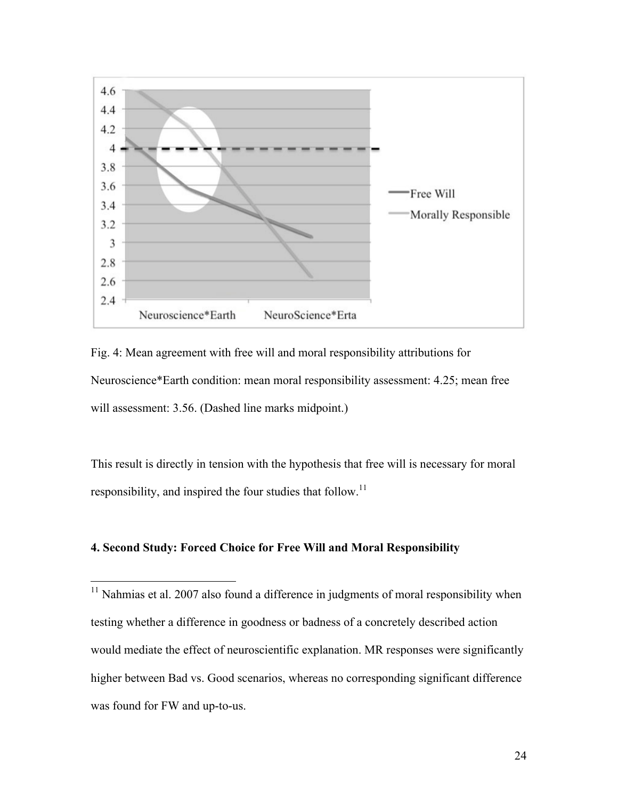

Fig. 4: Mean agreement with free will and moral responsibility attributions for Neuroscience\*Earth condition: mean moral responsibility assessment: 4.25; mean free will assessment: 3.56. (Dashed line marks midpoint.)

This result is directly in tension with the hypothesis that free will is necessary for moral responsibility, and inspired the four studies that follow.<sup>11</sup>

# **4. Second Study: Forced Choice for Free Will and Moral Responsibility**

 $11$  Nahmias et al. 2007 also found a difference in judgments of moral responsibility when testing whether a difference in goodness or badness of a concretely described action would mediate the effect of neuroscientific explanation. MR responses were significantly higher between Bad vs. Good scenarios, whereas no corresponding significant difference was found for FW and up-to-us.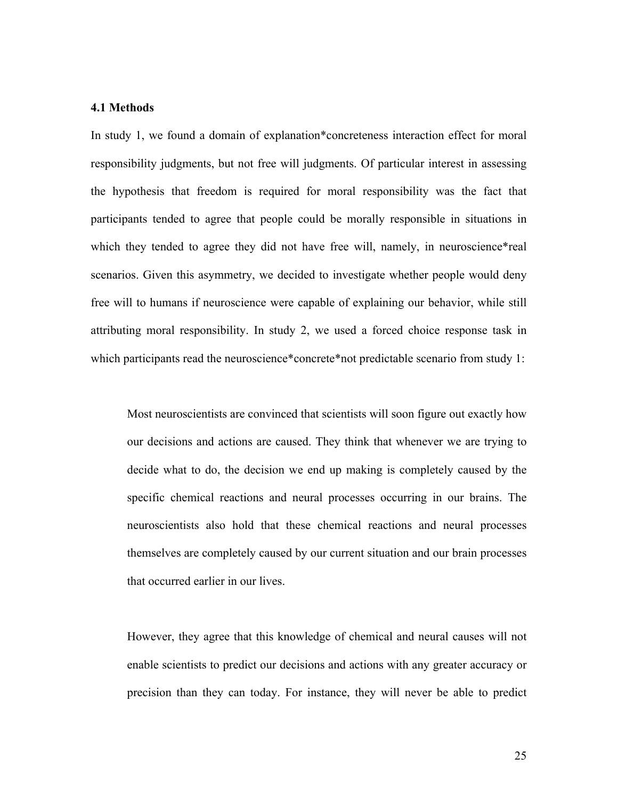### **4.1 Methods**

In study 1, we found a domain of explanation\*concreteness interaction effect for moral responsibility judgments, but not free will judgments. Of particular interest in assessing the hypothesis that freedom is required for moral responsibility was the fact that participants tended to agree that people could be morally responsible in situations in which they tended to agree they did not have free will, namely, in neuroscience\*real scenarios. Given this asymmetry, we decided to investigate whether people would deny free will to humans if neuroscience were capable of explaining our behavior, while still attributing moral responsibility. In study 2, we used a forced choice response task in which participants read the neuroscience\*concrete\*not predictable scenario from study 1:

Most neuroscientists are convinced that scientists will soon figure out exactly how our decisions and actions are caused. They think that whenever we are trying to decide what to do, the decision we end up making is completely caused by the specific chemical reactions and neural processes occurring in our brains. The neuroscientists also hold that these chemical reactions and neural processes themselves are completely caused by our current situation and our brain processes that occurred earlier in our lives.

However, they agree that this knowledge of chemical and neural causes will not enable scientists to predict our decisions and actions with any greater accuracy or precision than they can today. For instance, they will never be able to predict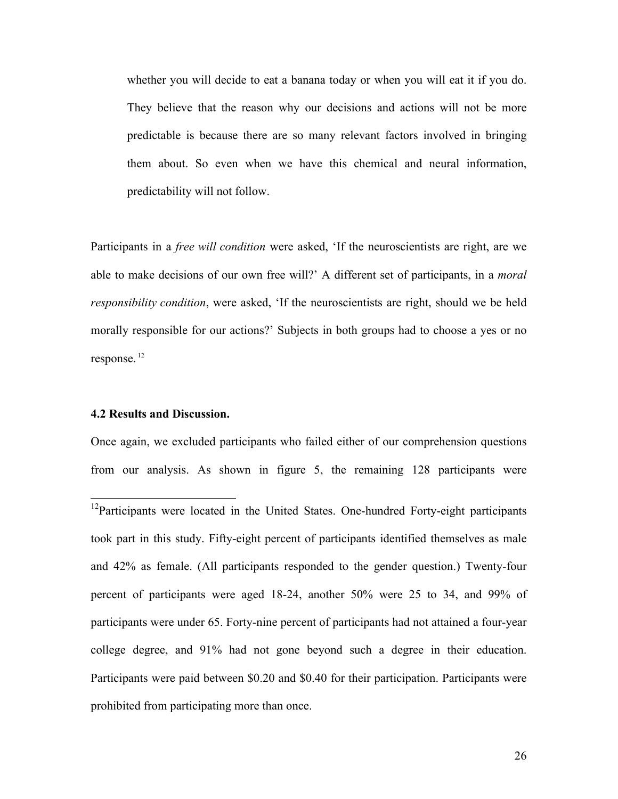whether you will decide to eat a banana today or when you will eat it if you do. They believe that the reason why our decisions and actions will not be more predictable is because there are so many relevant factors involved in bringing them about. So even when we have this chemical and neural information, predictability will not follow.

Participants in a *free will condition* were asked, 'If the neuroscientists are right, are we able to make decisions of our own free will?' A different set of participants, in a *moral responsibility condition*, were asked, 'If the neuroscientists are right, should we be held morally responsible for our actions?' Subjects in both groups had to choose a yes or no response. <sup>12</sup>

#### **4.2 Results and Discussion.**

Once again, we excluded participants who failed either of our comprehension questions from our analysis. As shown in figure 5, the remaining 128 participants were

<sup>&</sup>lt;sup>12</sup>Participants were located in the United States. One-hundred Forty-eight participants took part in this study. Fifty-eight percent of participants identified themselves as male and 42% as female. (All participants responded to the gender question.) Twenty-four percent of participants were aged 18-24, another 50% were 25 to 34, and 99% of participants were under 65. Forty-nine percent of participants had not attained a four-year college degree, and 91% had not gone beyond such a degree in their education. Participants were paid between \$0.20 and \$0.40 for their participation. Participants were prohibited from participating more than once.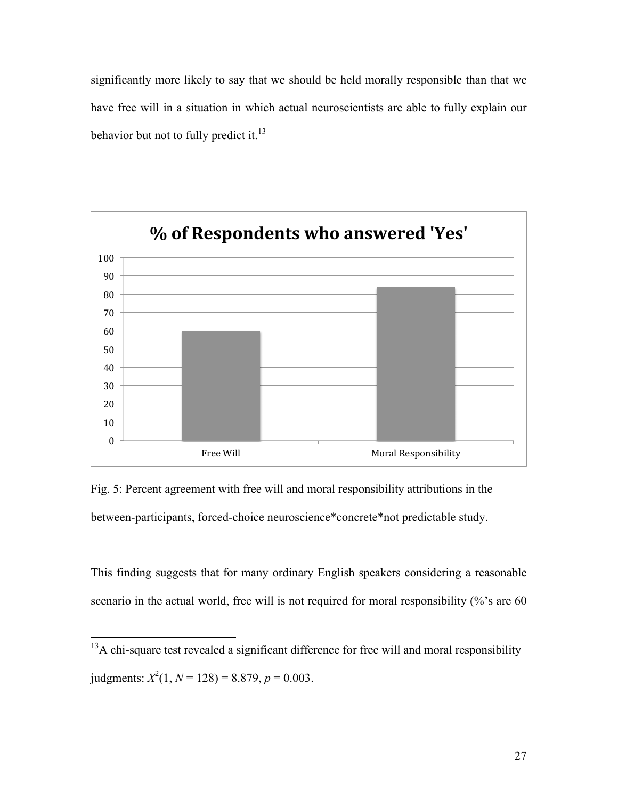significantly more likely to say that we should be held morally responsible than that we have free will in a situation in which actual neuroscientists are able to fully explain our behavior but not to fully predict it.<sup>13</sup>



Fig. 5: Percent agreement with free will and moral responsibility attributions in the between-participants, forced-choice neuroscience\*concrete\*not predictable study.

This finding suggests that for many ordinary English speakers considering a reasonable scenario in the actual world, free will is not required for moral responsibility  $\frac{6}{6}$  s are 60

<sup>&</sup>lt;sup>13</sup>A chi-square test revealed a significant difference for free will and moral responsibility judgments:  $X^2(1, N = 128) = 8.879$ ,  $p = 0.003$ .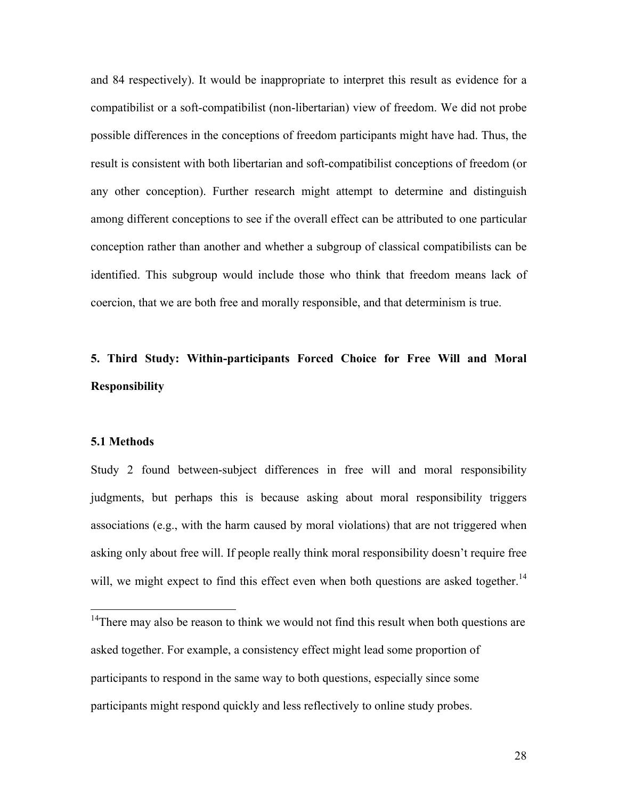and 84 respectively). It would be inappropriate to interpret this result as evidence for a compatibilist or a soft-compatibilist (non-libertarian) view of freedom. We did not probe possible differences in the conceptions of freedom participants might have had. Thus, the result is consistent with both libertarian and soft-compatibilist conceptions of freedom (or any other conception). Further research might attempt to determine and distinguish among different conceptions to see if the overall effect can be attributed to one particular conception rather than another and whether a subgroup of classical compatibilists can be identified. This subgroup would include those who think that freedom means lack of coercion, that we are both free and morally responsible, and that determinism is true.

# **5. Third Study: Within-participants Forced Choice for Free Will and Moral Responsibility**

#### **5.1 Methods**

Study 2 found between-subject differences in free will and moral responsibility judgments, but perhaps this is because asking about moral responsibility triggers associations (e.g., with the harm caused by moral violations) that are not triggered when asking only about free will. If people really think moral responsibility doesn't require free will, we might expect to find this effect even when both questions are asked together.<sup>14</sup>

 $14$ There may also be reason to think we would not find this result when both questions are asked together. For example, a consistency effect might lead some proportion of participants to respond in the same way to both questions, especially since some participants might respond quickly and less reflectively to online study probes.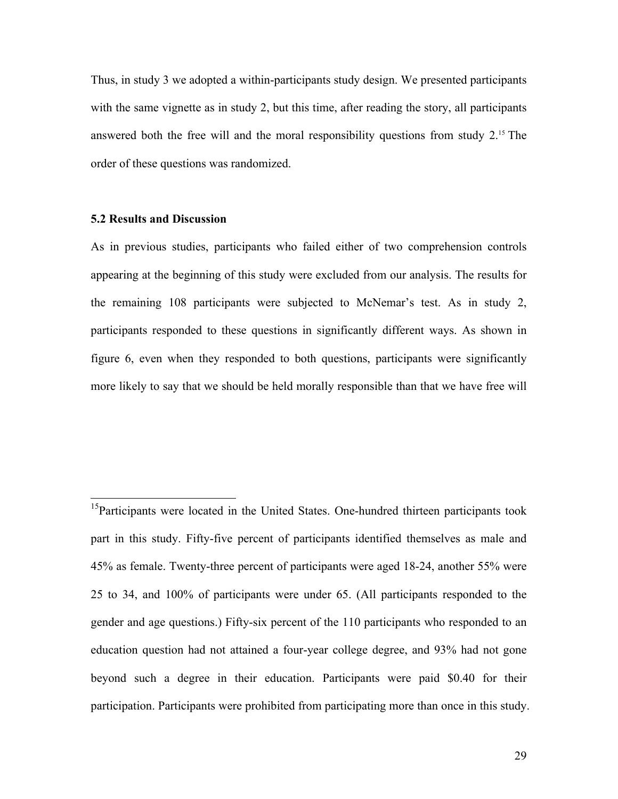Thus, in study 3 we adopted a within-participants study design. We presented participants with the same vignette as in study 2, but this time, after reading the story, all participants answered both the free will and the moral responsibility questions from study  $2<sup>15</sup>$ . The order of these questions was randomized.

#### **5.2 Results and Discussion**

As in previous studies, participants who failed either of two comprehension controls appearing at the beginning of this study were excluded from our analysis. The results for the remaining 108 participants were subjected to McNemar's test. As in study 2, participants responded to these questions in significantly different ways. As shown in figure 6, even when they responded to both questions, participants were significantly more likely to say that we should be held morally responsible than that we have free will

<sup>&</sup>lt;sup>15</sup>Participants were located in the United States. One-hundred thirteen participants took part in this study. Fifty-five percent of participants identified themselves as male and 45% as female. Twenty-three percent of participants were aged 18-24, another 55% were 25 to 34, and 100% of participants were under 65. (All participants responded to the gender and age questions.) Fifty-six percent of the 110 participants who responded to an education question had not attained a four-year college degree, and 93% had not gone beyond such a degree in their education. Participants were paid \$0.40 for their participation. Participants were prohibited from participating more than once in this study.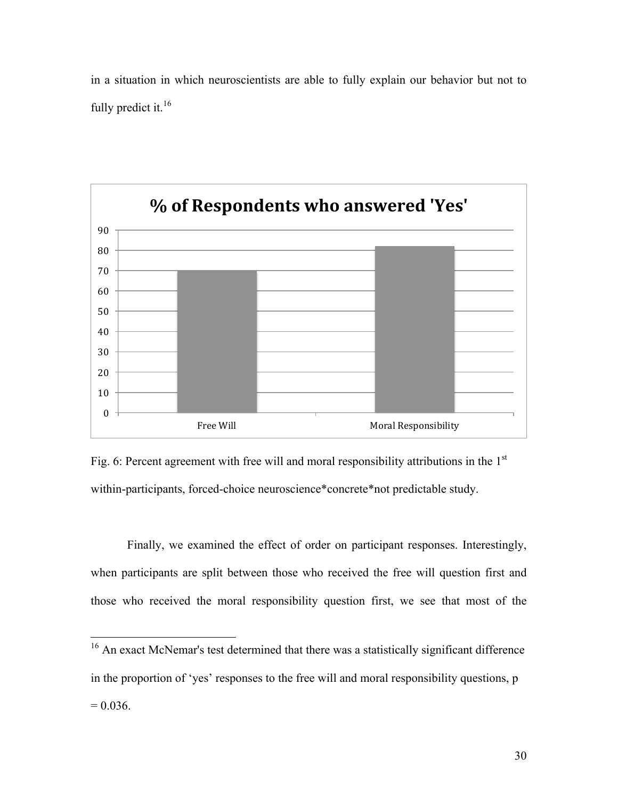in a situation in which neuroscientists are able to fully explain our behavior but not to fully predict it.<sup>16</sup>



Fig. 6: Percent agreement with free will and moral responsibility attributions in the  $1<sup>st</sup>$ within-participants, forced-choice neuroscience\*concrete\*not predictable study.

Finally, we examined the effect of order on participant responses. Interestingly, when participants are split between those who received the free will question first and those who received the moral responsibility question first, we see that most of the

<sup>&</sup>lt;sup>16</sup> An exact McNemar's test determined that there was a statistically significant difference in the proportion of 'yes' responses to the free will and moral responsibility questions, p  $= 0.036$ .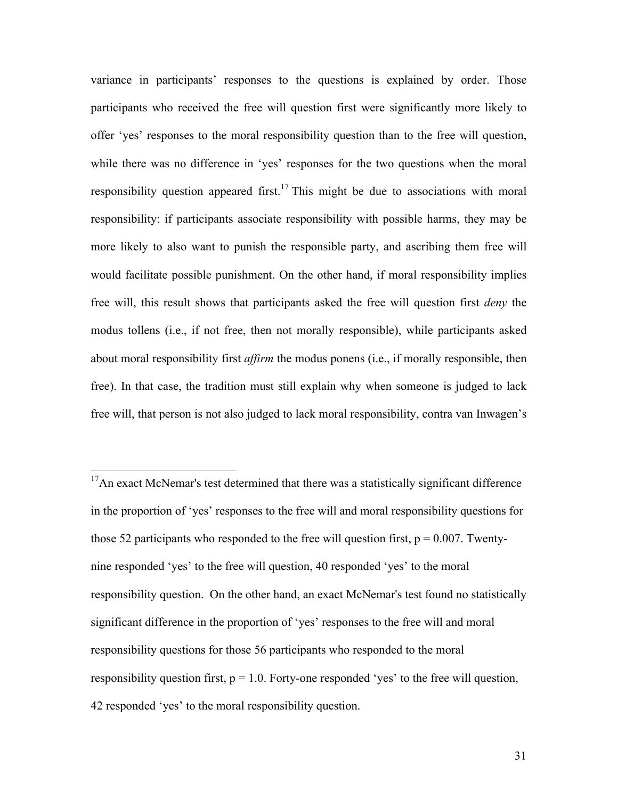variance in participants' responses to the questions is explained by order. Those participants who received the free will question first were significantly more likely to offer 'yes' responses to the moral responsibility question than to the free will question, while there was no difference in 'yes' responses for the two questions when the moral responsibility question appeared first.<sup>17</sup> This might be due to associations with moral responsibility: if participants associate responsibility with possible harms, they may be more likely to also want to punish the responsible party, and ascribing them free will would facilitate possible punishment. On the other hand, if moral responsibility implies free will, this result shows that participants asked the free will question first *deny* the modus tollens (i.e., if not free, then not morally responsible), while participants asked about moral responsibility first *affirm* the modus ponens (i.e., if morally responsible, then free). In that case, the tradition must still explain why when someone is judged to lack free will, that person is not also judged to lack moral responsibility, contra van Inwagen's

<sup>&</sup>lt;sup>17</sup>An exact McNemar's test determined that there was a statistically significant difference in the proportion of 'yes' responses to the free will and moral responsibility questions for those 52 participants who responded to the free will question first,  $p = 0.007$ . Twentynine responded 'yes' to the free will question, 40 responded 'yes' to the moral responsibility question. On the other hand, an exact McNemar's test found no statistically significant difference in the proportion of 'yes' responses to the free will and moral responsibility questions for those 56 participants who responded to the moral responsibility question first,  $p = 1.0$ . Forty-one responded 'yes' to the free will question, 42 responded 'yes' to the moral responsibility question.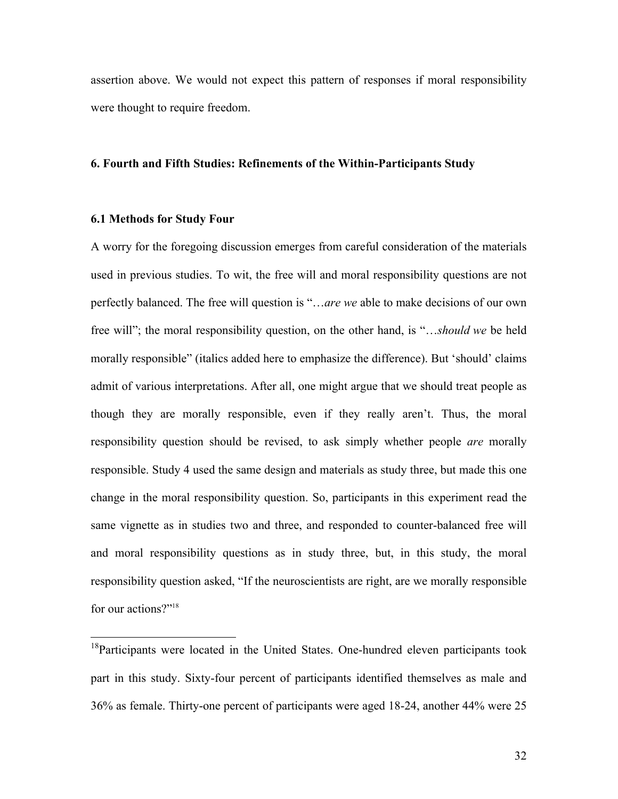assertion above. We would not expect this pattern of responses if moral responsibility were thought to require freedom.

#### **6. Fourth and Fifth Studies: Refinements of the Within-Participants Study**

#### **6.1 Methods for Study Four**

A worry for the foregoing discussion emerges from careful consideration of the materials used in previous studies. To wit, the free will and moral responsibility questions are not perfectly balanced. The free will question is "…*are we* able to make decisions of our own free will"; the moral responsibility question, on the other hand, is "…*should we* be held morally responsible" (italics added here to emphasize the difference). But 'should' claims admit of various interpretations. After all, one might argue that we should treat people as though they are morally responsible, even if they really aren't. Thus, the moral responsibility question should be revised, to ask simply whether people *are* morally responsible. Study 4 used the same design and materials as study three, but made this one change in the moral responsibility question. So, participants in this experiment read the same vignette as in studies two and three, and responded to counter-balanced free will and moral responsibility questions as in study three, but, in this study, the moral responsibility question asked, "If the neuroscientists are right, are we morally responsible for our actions?"<sup>18</sup>

 $18$ Participants were located in the United States. One-hundred eleven participants took part in this study. Sixty-four percent of participants identified themselves as male and 36% as female. Thirty-one percent of participants were aged 18-24, another 44% were 25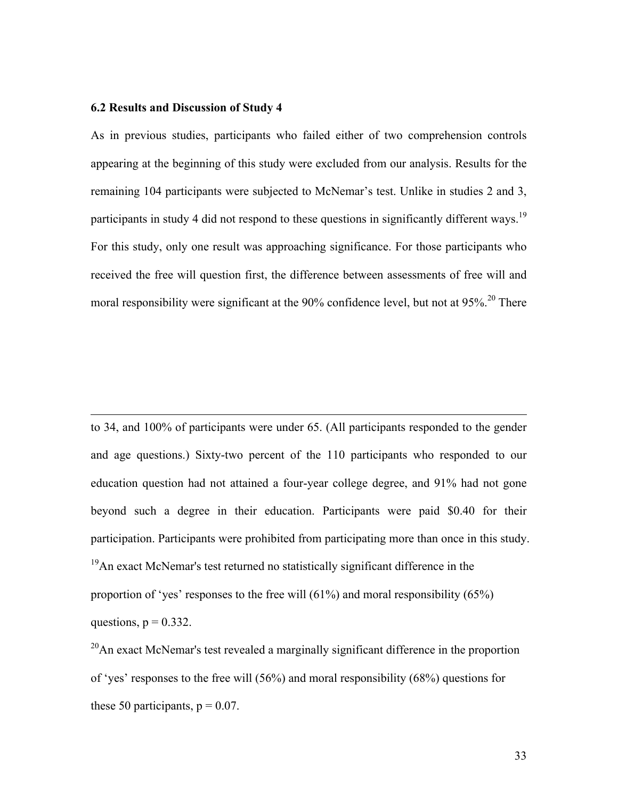# **6.2 Results and Discussion of Study 4**

As in previous studies, participants who failed either of two comprehension controls appearing at the beginning of this study were excluded from our analysis. Results for the remaining 104 participants were subjected to McNemar's test. Unlike in studies 2 and 3, participants in study 4 did not respond to these questions in significantly different ways.<sup>19</sup> For this study, only one result was approaching significance. For those participants who received the free will question first, the difference between assessments of free will and moral responsibility were significant at the 90% confidence level, but not at 95%.<sup>20</sup> There

 $\overline{a}$ to 34, and 100% of participants were under 65. (All participants responded to the gender and age questions.) Sixty-two percent of the 110 participants who responded to our education question had not attained a four-year college degree, and 91% had not gone beyond such a degree in their education. Participants were paid \$0.40 for their participation. Participants were prohibited from participating more than once in this study.  $19$ An exact McNemar's test returned no statistically significant difference in the proportion of 'yes' responses to the free will (61%) and moral responsibility (65%) questions,  $p = 0.332$ .

 $20$ An exact McNemar's test revealed a marginally significant difference in the proportion of 'yes' responses to the free will (56%) and moral responsibility (68%) questions for these 50 participants,  $p = 0.07$ .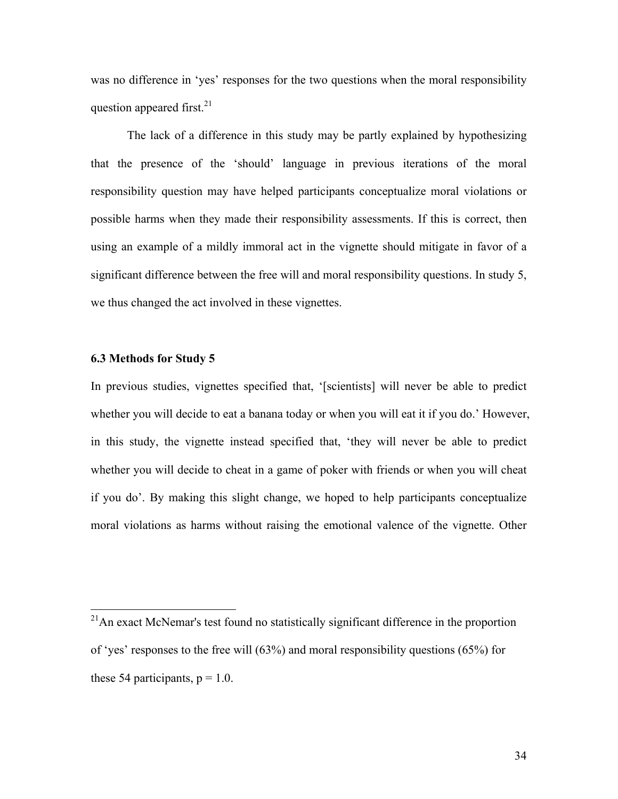was no difference in 'yes' responses for the two questions when the moral responsibility question appeared first. $^{21}$ 

The lack of a difference in this study may be partly explained by hypothesizing that the presence of the 'should' language in previous iterations of the moral responsibility question may have helped participants conceptualize moral violations or possible harms when they made their responsibility assessments. If this is correct, then using an example of a mildly immoral act in the vignette should mitigate in favor of a significant difference between the free will and moral responsibility questions. In study 5, we thus changed the act involved in these vignettes.

#### **6.3 Methods for Study 5**

In previous studies, vignettes specified that, '[scientists] will never be able to predict whether you will decide to eat a banana today or when you will eat it if you do.' However, in this study, the vignette instead specified that, 'they will never be able to predict whether you will decide to cheat in a game of poker with friends or when you will cheat if you do'. By making this slight change, we hoped to help participants conceptualize moral violations as harms without raising the emotional valence of the vignette. Other

 $21$ An exact McNemar's test found no statistically significant difference in the proportion of 'yes' responses to the free will (63%) and moral responsibility questions (65%) for these 54 participants,  $p = 1.0$ .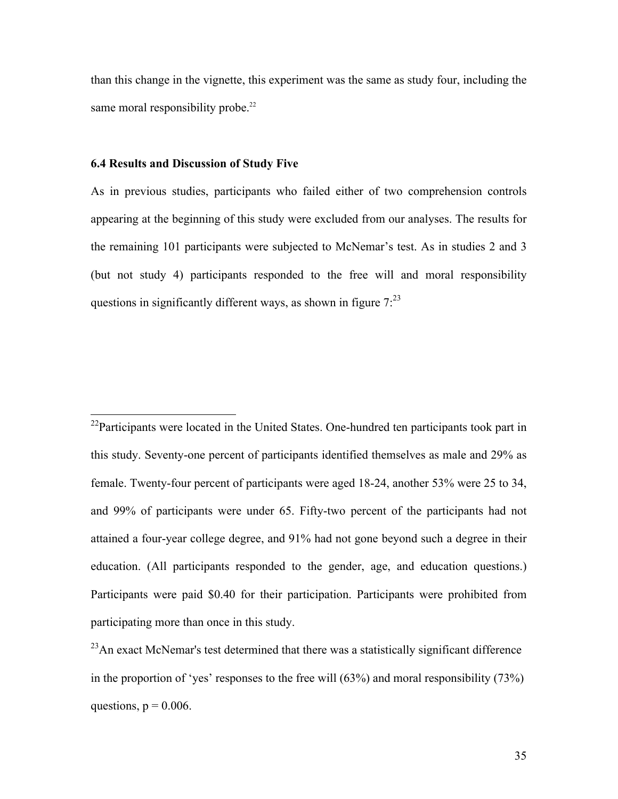than this change in the vignette, this experiment was the same as study four, including the same moral responsibility probe.<sup>22</sup>

#### **6.4 Results and Discussion of Study Five**

As in previous studies, participants who failed either of two comprehension controls appearing at the beginning of this study were excluded from our analyses. The results for the remaining 101 participants were subjected to McNemar's test. As in studies 2 and 3 (but not study 4) participants responded to the free will and moral responsibility questions in significantly different ways, as shown in figure  $7:^{23}$ 

 $^{22}$ Participants were located in the United States. One-hundred ten participants took part in this study. Seventy-one percent of participants identified themselves as male and 29% as female. Twenty-four percent of participants were aged 18-24, another 53% were 25 to 34, and 99% of participants were under 65. Fifty-two percent of the participants had not attained a four-year college degree, and 91% had not gone beyond such a degree in their education. (All participants responded to the gender, age, and education questions.) Participants were paid \$0.40 for their participation. Participants were prohibited from participating more than once in this study.

 $^{23}$ An exact McNemar's test determined that there was a statistically significant difference in the proportion of 'yes' responses to the free will (63%) and moral responsibility (73%) questions,  $p = 0.006$ .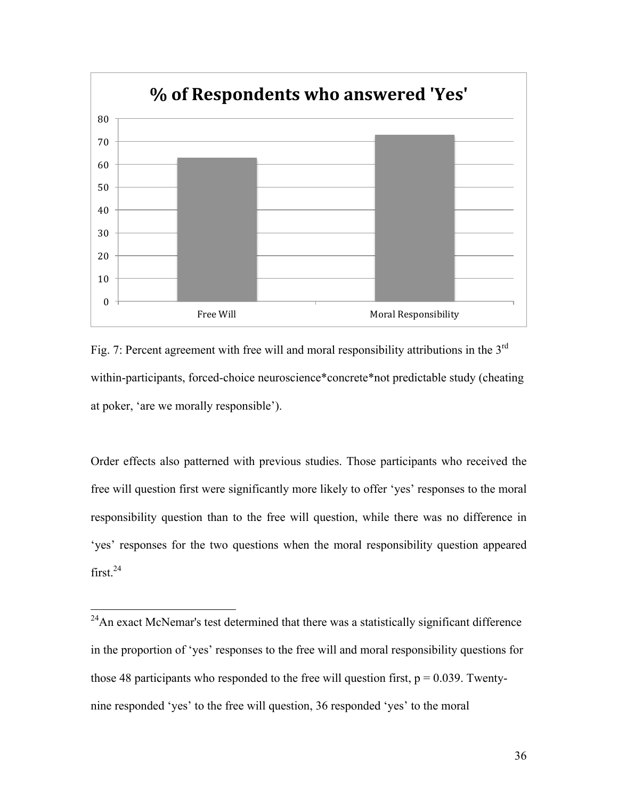

Fig. 7: Percent agreement with free will and moral responsibility attributions in the 3<sup>rd</sup> within-participants, forced-choice neuroscience\*concrete\*not predictable study (cheating at poker, 'are we morally responsible').

Order effects also patterned with previous studies. Those participants who received the free will question first were significantly more likely to offer 'yes' responses to the moral responsibility question than to the free will question, while there was no difference in 'yes' responses for the two questions when the moral responsibility question appeared  $first.<sup>24</sup>$ 

 $24$ An exact McNemar's test determined that there was a statistically significant difference in the proportion of 'yes' responses to the free will and moral responsibility questions for those 48 participants who responded to the free will question first,  $p = 0.039$ . Twentynine responded 'yes' to the free will question, 36 responded 'yes' to the moral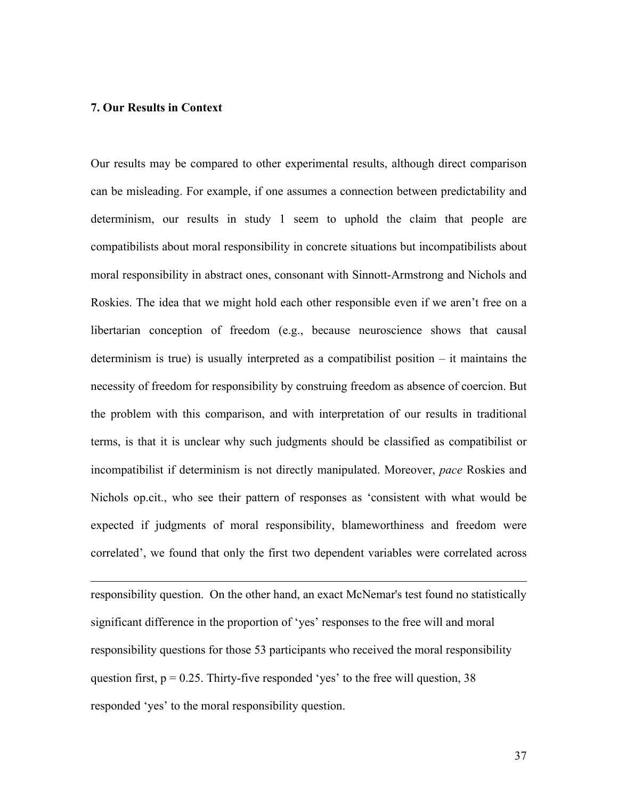### **7. Our Results in Context**

 $\overline{a}$ 

Our results may be compared to other experimental results, although direct comparison can be misleading. For example, if one assumes a connection between predictability and determinism, our results in study 1 seem to uphold the claim that people are compatibilists about moral responsibility in concrete situations but incompatibilists about moral responsibility in abstract ones, consonant with Sinnott-Armstrong and Nichols and Roskies. The idea that we might hold each other responsible even if we aren't free on a libertarian conception of freedom (e.g., because neuroscience shows that causal determinism is true) is usually interpreted as a compatibilist position – it maintains the necessity of freedom for responsibility by construing freedom as absence of coercion. But the problem with this comparison, and with interpretation of our results in traditional terms, is that it is unclear why such judgments should be classified as compatibilist or incompatibilist if determinism is not directly manipulated. Moreover, *pace* Roskies and Nichols op.cit., who see their pattern of responses as 'consistent with what would be expected if judgments of moral responsibility, blameworthiness and freedom were correlated', we found that only the first two dependent variables were correlated across

responsibility question. On the other hand, an exact McNemar's test found no statistically significant difference in the proportion of 'yes' responses to the free will and moral responsibility questions for those 53 participants who received the moral responsibility question first,  $p = 0.25$ . Thirty-five responded 'yes' to the free will question, 38 responded 'yes' to the moral responsibility question.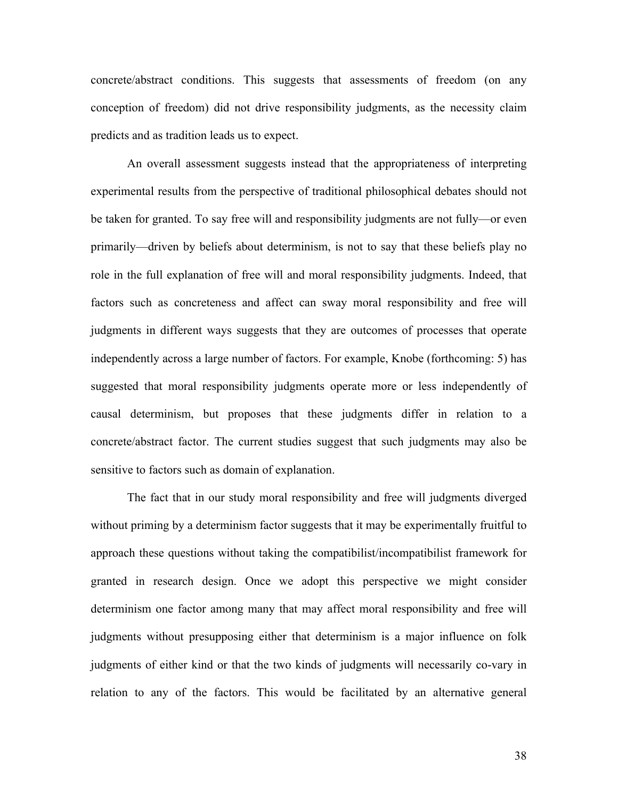concrete/abstract conditions. This suggests that assessments of freedom (on any conception of freedom) did not drive responsibility judgments, as the necessity claim predicts and as tradition leads us to expect.

An overall assessment suggests instead that the appropriateness of interpreting experimental results from the perspective of traditional philosophical debates should not be taken for granted. To say free will and responsibility judgments are not fully—or even primarily—driven by beliefs about determinism, is not to say that these beliefs play no role in the full explanation of free will and moral responsibility judgments. Indeed, that factors such as concreteness and affect can sway moral responsibility and free will judgments in different ways suggests that they are outcomes of processes that operate independently across a large number of factors. For example, Knobe (forthcoming: 5) has suggested that moral responsibility judgments operate more or less independently of causal determinism, but proposes that these judgments differ in relation to a concrete/abstract factor. The current studies suggest that such judgments may also be sensitive to factors such as domain of explanation.

The fact that in our study moral responsibility and free will judgments diverged without priming by a determinism factor suggests that it may be experimentally fruitful to approach these questions without taking the compatibilist/incompatibilist framework for granted in research design. Once we adopt this perspective we might consider determinism one factor among many that may affect moral responsibility and free will judgments without presupposing either that determinism is a major influence on folk judgments of either kind or that the two kinds of judgments will necessarily co-vary in relation to any of the factors. This would be facilitated by an alternative general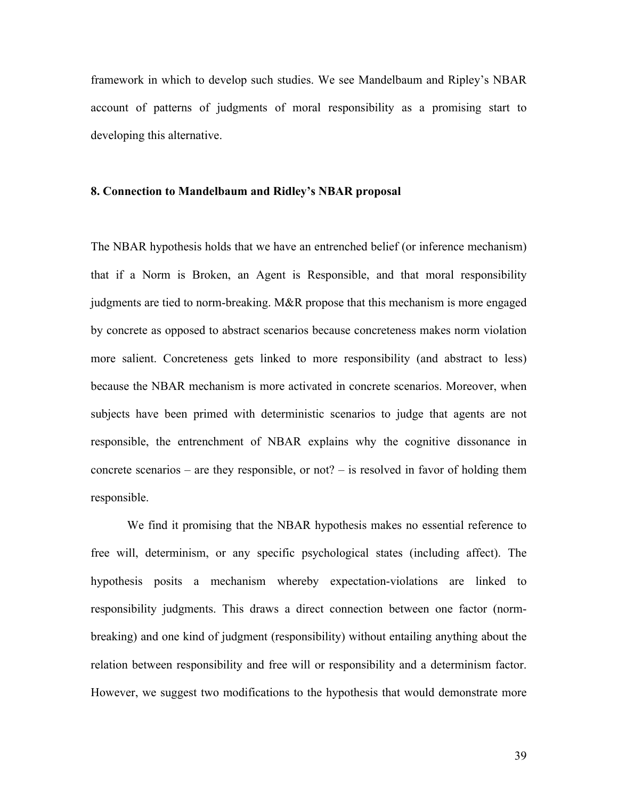framework in which to develop such studies. We see Mandelbaum and Ripley's NBAR account of patterns of judgments of moral responsibility as a promising start to developing this alternative.

#### **8. Connection to Mandelbaum and Ridley's NBAR proposal**

The NBAR hypothesis holds that we have an entrenched belief (or inference mechanism) that if a Norm is Broken, an Agent is Responsible, and that moral responsibility judgments are tied to norm-breaking. M&R propose that this mechanism is more engaged by concrete as opposed to abstract scenarios because concreteness makes norm violation more salient. Concreteness gets linked to more responsibility (and abstract to less) because the NBAR mechanism is more activated in concrete scenarios. Moreover, when subjects have been primed with deterministic scenarios to judge that agents are not responsible, the entrenchment of NBAR explains why the cognitive dissonance in concrete scenarios – are they responsible, or not? – is resolved in favor of holding them responsible.

We find it promising that the NBAR hypothesis makes no essential reference to free will, determinism, or any specific psychological states (including affect). The hypothesis posits a mechanism whereby expectation-violations are linked to responsibility judgments. This draws a direct connection between one factor (normbreaking) and one kind of judgment (responsibility) without entailing anything about the relation between responsibility and free will or responsibility and a determinism factor. However, we suggest two modifications to the hypothesis that would demonstrate more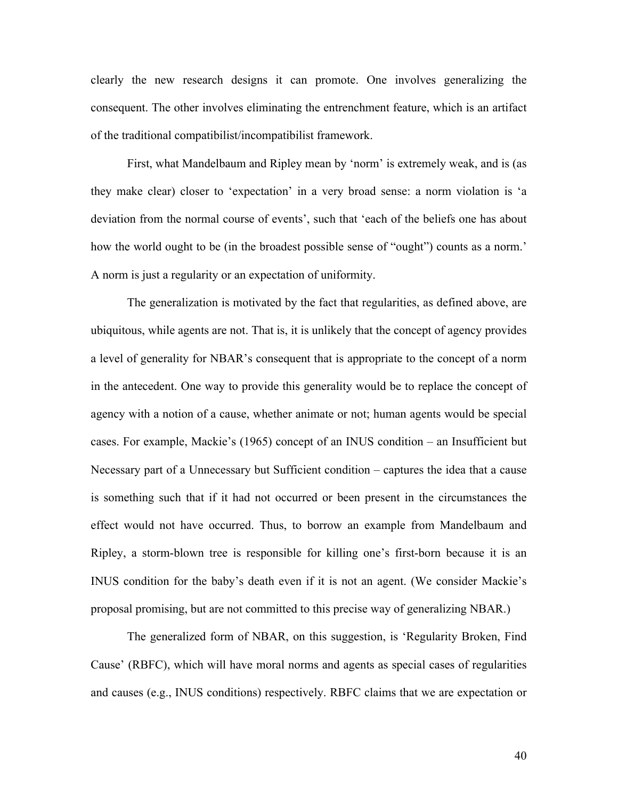clearly the new research designs it can promote. One involves generalizing the consequent. The other involves eliminating the entrenchment feature, which is an artifact of the traditional compatibilist/incompatibilist framework.

First, what Mandelbaum and Ripley mean by 'norm' is extremely weak, and is (as they make clear) closer to 'expectation' in a very broad sense: a norm violation is 'a deviation from the normal course of events', such that 'each of the beliefs one has about how the world ought to be (in the broadest possible sense of "ought") counts as a norm.' A norm is just a regularity or an expectation of uniformity.

The generalization is motivated by the fact that regularities, as defined above, are ubiquitous, while agents are not. That is, it is unlikely that the concept of agency provides a level of generality for NBAR's consequent that is appropriate to the concept of a norm in the antecedent. One way to provide this generality would be to replace the concept of agency with a notion of a cause, whether animate or not; human agents would be special cases. For example, Mackie's (1965) concept of an INUS condition – an Insufficient but Necessary part of a Unnecessary but Sufficient condition – captures the idea that a cause is something such that if it had not occurred or been present in the circumstances the effect would not have occurred. Thus, to borrow an example from Mandelbaum and Ripley, a storm-blown tree is responsible for killing one's first-born because it is an INUS condition for the baby's death even if it is not an agent. (We consider Mackie's proposal promising, but are not committed to this precise way of generalizing NBAR.)

The generalized form of NBAR, on this suggestion, is 'Regularity Broken, Find Cause' (RBFC), which will have moral norms and agents as special cases of regularities and causes (e.g., INUS conditions) respectively. RBFC claims that we are expectation or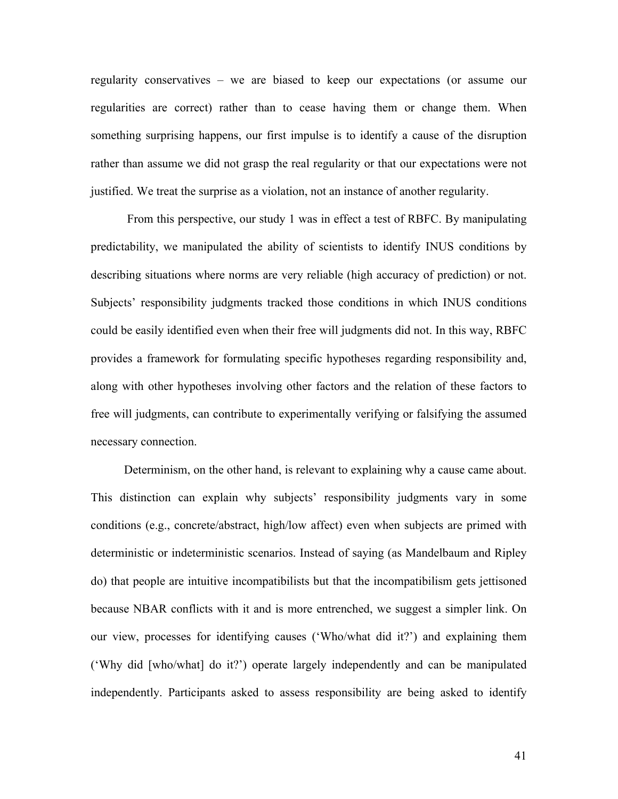regularity conservatives – we are biased to keep our expectations (or assume our regularities are correct) rather than to cease having them or change them. When something surprising happens, our first impulse is to identify a cause of the disruption rather than assume we did not grasp the real regularity or that our expectations were not justified. We treat the surprise as a violation, not an instance of another regularity.

From this perspective, our study 1 was in effect a test of RBFC. By manipulating predictability, we manipulated the ability of scientists to identify INUS conditions by describing situations where norms are very reliable (high accuracy of prediction) or not. Subjects' responsibility judgments tracked those conditions in which INUS conditions could be easily identified even when their free will judgments did not. In this way, RBFC provides a framework for formulating specific hypotheses regarding responsibility and, along with other hypotheses involving other factors and the relation of these factors to free will judgments, can contribute to experimentally verifying or falsifying the assumed necessary connection.

Determinism, on the other hand, is relevant to explaining why a cause came about. This distinction can explain why subjects' responsibility judgments vary in some conditions (e.g., concrete/abstract, high/low affect) even when subjects are primed with deterministic or indeterministic scenarios. Instead of saying (as Mandelbaum and Ripley do) that people are intuitive incompatibilists but that the incompatibilism gets jettisoned because NBAR conflicts with it and is more entrenched, we suggest a simpler link. On our view, processes for identifying causes ('Who/what did it?') and explaining them ('Why did [who/what] do it?') operate largely independently and can be manipulated independently. Participants asked to assess responsibility are being asked to identify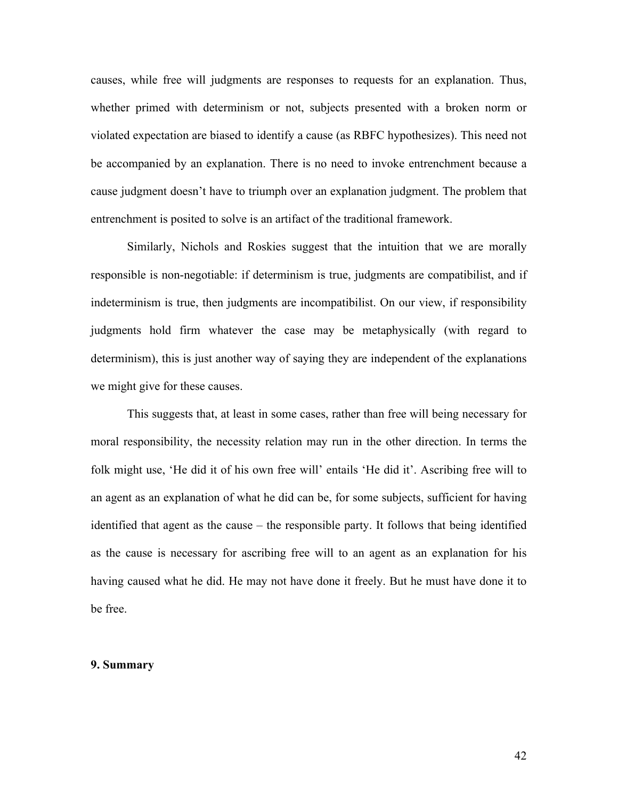causes, while free will judgments are responses to requests for an explanation. Thus, whether primed with determinism or not, subjects presented with a broken norm or violated expectation are biased to identify a cause (as RBFC hypothesizes). This need not be accompanied by an explanation. There is no need to invoke entrenchment because a cause judgment doesn't have to triumph over an explanation judgment. The problem that entrenchment is posited to solve is an artifact of the traditional framework.

Similarly, Nichols and Roskies suggest that the intuition that we are morally responsible is non-negotiable: if determinism is true, judgments are compatibilist, and if indeterminism is true, then judgments are incompatibilist. On our view, if responsibility judgments hold firm whatever the case may be metaphysically (with regard to determinism), this is just another way of saying they are independent of the explanations we might give for these causes.

This suggests that, at least in some cases, rather than free will being necessary for moral responsibility, the necessity relation may run in the other direction. In terms the folk might use, 'He did it of his own free will' entails 'He did it'. Ascribing free will to an agent as an explanation of what he did can be, for some subjects, sufficient for having identified that agent as the cause – the responsible party. It follows that being identified as the cause is necessary for ascribing free will to an agent as an explanation for his having caused what he did. He may not have done it freely. But he must have done it to be free.

### **9. Summary**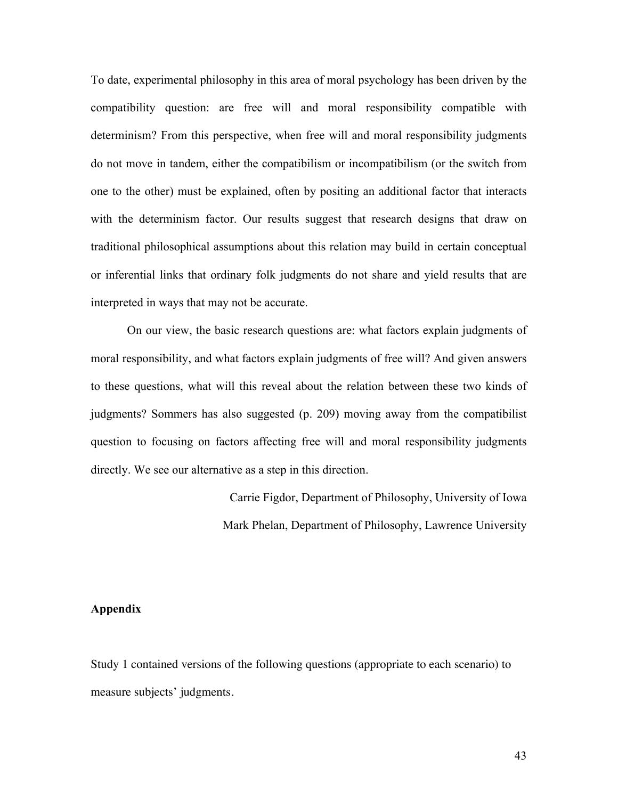To date, experimental philosophy in this area of moral psychology has been driven by the compatibility question: are free will and moral responsibility compatible with determinism? From this perspective, when free will and moral responsibility judgments do not move in tandem, either the compatibilism or incompatibilism (or the switch from one to the other) must be explained, often by positing an additional factor that interacts with the determinism factor. Our results suggest that research designs that draw on traditional philosophical assumptions about this relation may build in certain conceptual or inferential links that ordinary folk judgments do not share and yield results that are interpreted in ways that may not be accurate.

On our view, the basic research questions are: what factors explain judgments of moral responsibility, and what factors explain judgments of free will? And given answers to these questions, what will this reveal about the relation between these two kinds of judgments? Sommers has also suggested (p. 209) moving away from the compatibilist question to focusing on factors affecting free will and moral responsibility judgments directly. We see our alternative as a step in this direction.

> Carrie Figdor, Department of Philosophy, University of Iowa Mark Phelan, Department of Philosophy, Lawrence University

## **Appendix**

Study 1 contained versions of the following questions (appropriate to each scenario) to measure subjects' judgments.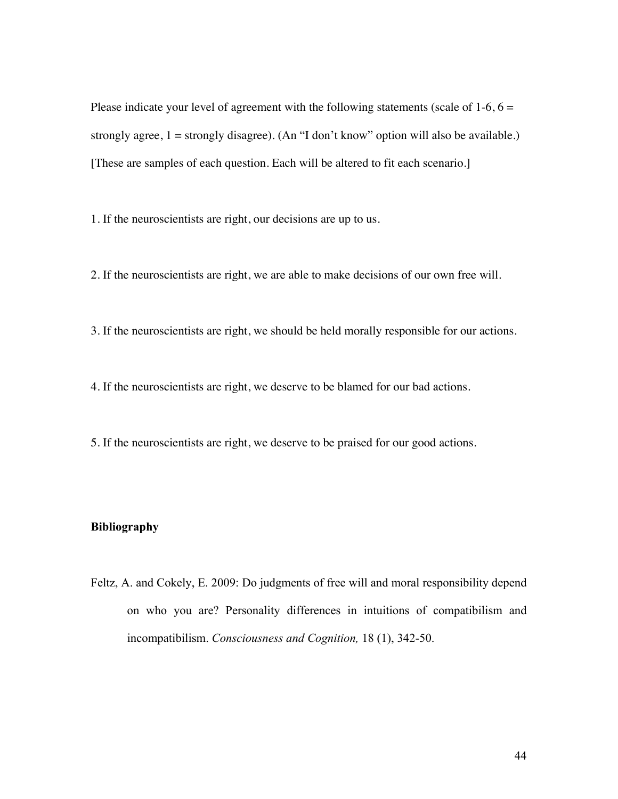Please indicate your level of agreement with the following statements (scale of  $1-6$ ,  $6 =$ strongly agree,  $1 =$  strongly disagree). (An "I don't know" option will also be available.) [These are samples of each question. Each will be altered to fit each scenario.]

1. If the neuroscientists are right, our decisions are up to us.

2. If the neuroscientists are right, we are able to make decisions of our own free will.

3. If the neuroscientists are right, we should be held morally responsible for our actions.

4. If the neuroscientists are right, we deserve to be blamed for our bad actions.

5. If the neuroscientists are right, we deserve to be praised for our good actions.

# **Bibliography**

Feltz, A. and Cokely, E. 2009: Do judgments of free will and moral responsibility depend on who you are? Personality differences in intuitions of compatibilism and incompatibilism. *Consciousness and Cognition,* 18 (1), 342-50.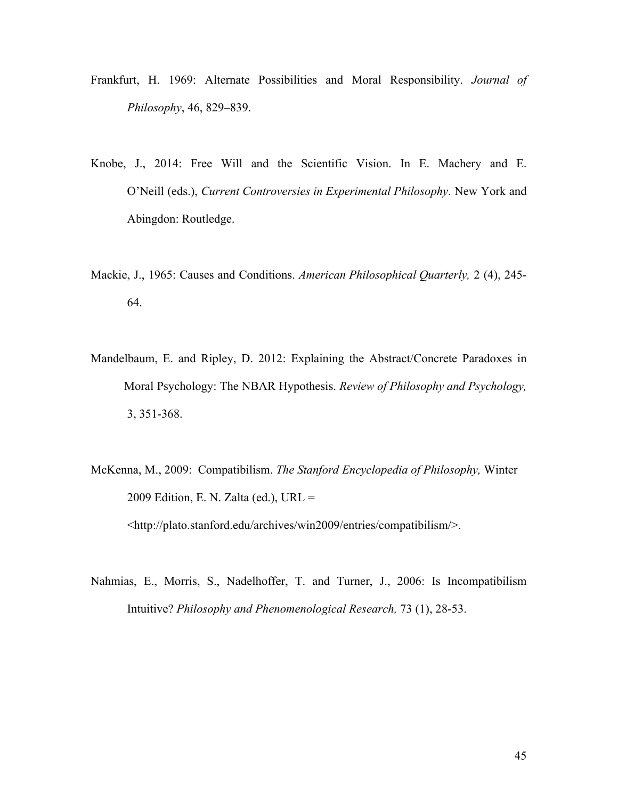- Frankfurt, H. 1969: Alternate Possibilities and Moral Responsibility. *Journal of Philosophy*, 46, 829–839.
- Knobe, J., 2014: Free Will and the Scientific Vision. In E. Machery and E. O'Neill (eds.), *Current Controversies in Experimental Philosophy*. New York and Abingdon: Routledge.
- Mackie, J., 1965: Causes and Conditions. *American Philosophical Quarterly,* 2 (4), 245- 64.
- Mandelbaum, E. and Ripley, D. 2012: Explaining the Abstract/Concrete Paradoxes in Moral Psychology: The NBAR Hypothesis. *Review of Philosophy and Psychology,* 3, 351-368.
- McKenna, M., 2009: Compatibilism. *The Stanford Encyclopedia of Philosophy,* Winter 2009 Edition, E. N. Zalta (ed.), URL = <http://plato.stanford.edu/archives/win2009/entries/compatibilism/>.
- Nahmias, E., Morris, S., Nadelhoffer, T. and Turner, J., 2006: Is Incompatibilism Intuitive? *Philosophy and Phenomenological Research,* 73 (1), 28-53.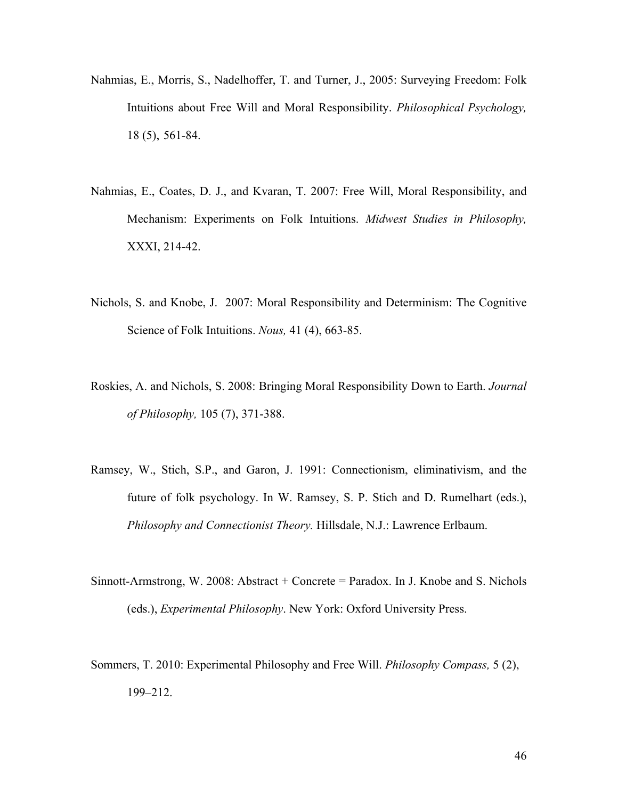- Nahmias, E., Morris, S., Nadelhoffer, T. and Turner, J., 2005: Surveying Freedom: Folk Intuitions about Free Will and Moral Responsibility. *Philosophical Psychology,* 18 (5), 561-84.
- Nahmias, E., Coates, D. J., and Kvaran, T. 2007: Free Will, Moral Responsibility, and Mechanism: Experiments on Folk Intuitions. *Midwest Studies in Philosophy,* XXXI, 214-42.
- Nichols, S. and Knobe, J. 2007: Moral Responsibility and Determinism: The Cognitive Science of Folk Intuitions. *Nous,* 41 (4), 663-85.
- Roskies, A. and Nichols, S. 2008: Bringing Moral Responsibility Down to Earth. *Journal of Philosophy,* 105 (7), 371-388.
- Ramsey, W., Stich, S.P., and Garon, J. 1991: Connectionism, eliminativism, and the future of folk psychology. In W. Ramsey, S. P. Stich and D. Rumelhart (eds.), *Philosophy and Connectionist Theory.* Hillsdale, N.J.: Lawrence Erlbaum.
- Sinnott-Armstrong, W. 2008: Abstract + Concrete = Paradox. In J. Knobe and S. Nichols (eds.), *Experimental Philosophy*. New York: Oxford University Press.
- Sommers, T. 2010: Experimental Philosophy and Free Will. *Philosophy Compass,* 5 (2), 199–212.